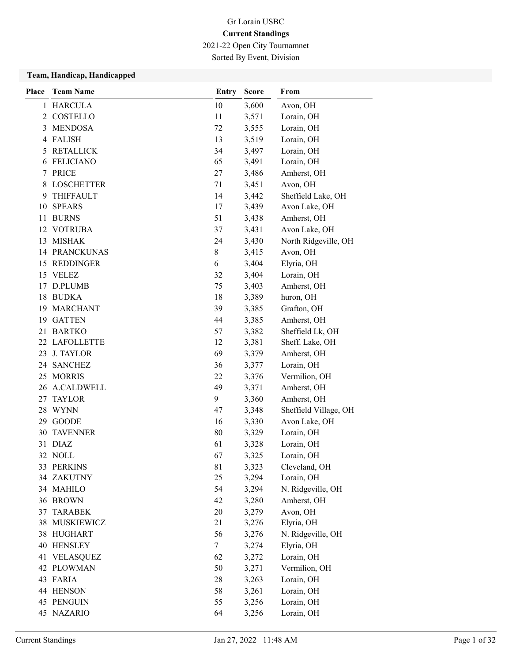2021-22 Open City Tournamnet

Sorted By Event, Division

#### Team, Handicap, Handicapped

| Place | <b>Team Name</b>     | Entry  | <b>Score</b> | From                  |
|-------|----------------------|--------|--------------|-----------------------|
| 1     | <b>HARCULA</b>       | 10     | 3,600        | Avon, OH              |
| 2     | COSTELLO             | 11     | 3,571        | Lorain, OH            |
| 3     | <b>MENDOSA</b>       | 72     | 3,555        | Lorain, OH            |
| 4     | <b>FALISH</b>        | 13     | 3,519        | Lorain, OH            |
| 5     | <b>RETALLICK</b>     | 34     | 3,497        | Lorain, OH            |
| 6     | <b>FELICIANO</b>     | 65     | 3,491        | Lorain, OH            |
|       | 7 PRICE              | 27     | 3,486        | Amherst, OH           |
| 8     | <b>LOSCHETTER</b>    | 71     | 3,451        | Avon, OH              |
| 9     | <b>THIFFAULT</b>     | 14     | 3,442        | Sheffield Lake, OH    |
| 10    | <b>SPEARS</b>        | 17     | 3,439        | Avon Lake, OH         |
| 11    | <b>BURNS</b>         | 51     | 3,438        | Amherst, OH           |
| 12    | <b>VOTRUBA</b>       | 37     | 3,431        | Avon Lake, OH         |
| 13    | MISHAK               | 24     | 3,430        | North Ridgeville, OH  |
|       | <b>14 PRANCKUNAS</b> | 8      | 3,415        | Avon, OH              |
|       | 15 REDDINGER         | 6      | 3,404        | Elyria, OH            |
|       | 15 VELEZ             | 32     | 3,404        | Lorain, OH            |
|       | 17 D.PLUMB           | 75     | 3,403        | Amherst, OH           |
|       | 18 BUDKA             | 18     | 3,389        | huron, OH             |
|       | 19 MARCHANT          | 39     | 3,385        | Grafton, OH           |
|       | 19 GATTEN            | 44     | 3,385        | Amherst, OH           |
|       | 21 BARTKO            | 57     | 3,382        | Sheffield Lk, OH      |
|       | 22 LAFOLLETTE        | 12     | 3,381        | Sheff. Lake, OH       |
|       | 23 J. TAYLOR         | 69     | 3,379        | Amherst, OH           |
|       | 24 SANCHEZ           | 36     | 3,377        | Lorain, OH            |
| 25    | MORRIS               | 22     | 3,376        | Vermilion, OH         |
|       | 26 A.CALDWELL        | 49     | 3,371        | Amherst, OH           |
| 27    | <b>TAYLOR</b>        | 9      | 3,360        | Amherst, OH           |
|       | 28 WYNN              | 47     | 3,348        | Sheffield Village, OH |
|       | 29 GOODE             | 16     | 3,330        | Avon Lake, OH         |
| 30    | <b>TAVENNER</b>      | 80     | 3,329        | Lorain, OH            |
|       | 31 DIAZ              | 61     | 3,328        | Lorain, OH            |
|       | 32 NOLL              | 67     | 3,325        | Lorain, OH            |
|       | 33 PERKINS           | 81     | 3,323        | Cleveland, OH         |
|       | 34 ZAKUTNY           | 25     | 3,294        | Lorain, OH            |
|       | 34 MAHILO            | 54     | 3,294        | N. Ridgeville, OH     |
|       | 36 BROWN             | 42     | 3,280        | Amherst, OH           |
| 37    | <b>TARABEK</b>       | 20     | 3,279        | Avon, OH              |
| 38    | <b>MUSKIEWICZ</b>    | 21     | 3,276        | Elyria, OH            |
|       | 38 HUGHART           | 56     | 3,276        | N. Ridgeville, OH     |
| 40    | <b>HENSLEY</b>       | $\tau$ | 3,274        | Elyria, OH            |
| 41    | <b>VELASQUEZ</b>     | 62     | 3,272        | Lorain, OH            |
|       | 42 PLOWMAN           | 50     | 3,271        | Vermilion, OH         |
|       | 43 FARIA             | 28     | 3,263        | Lorain, OH            |
| 44    | <b>HENSON</b>        | 58     | 3,261        | Lorain, OH            |
|       | 45 PENGUIN           | 55     | 3,256        | Lorain, OH            |
|       | 45 NAZARIO           | 64     | 3,256        | Lorain, OH            |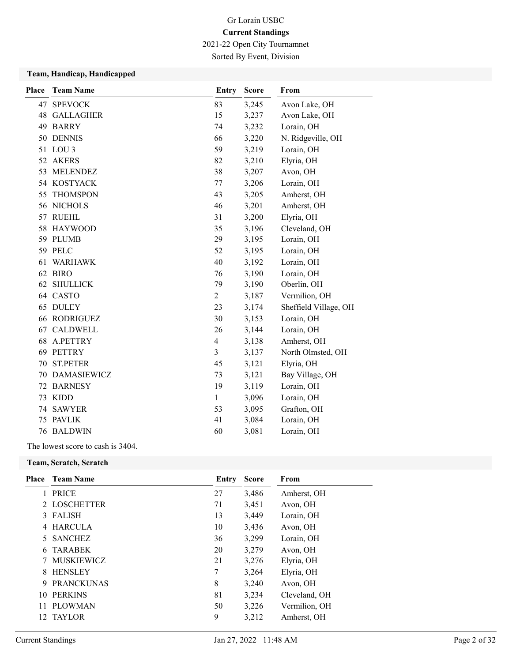2021-22 Open City Tournamnet

Sorted By Event, Division

### Team, Handicap, Handicapped

| Place | <b>Team Name</b>    | <b>Entry</b>             | <b>Score</b> | From                  |
|-------|---------------------|--------------------------|--------------|-----------------------|
|       | 47 SPEVOCK          | 83                       | 3,245        | Avon Lake, OH         |
| 48    | <b>GALLAGHER</b>    | 15                       | 3,237        | Avon Lake, OH         |
| 49    | <b>BARRY</b>        | 74                       | 3,232        | Lorain, OH            |
|       | 50 DENNIS           | 66                       | 3,220        | N. Ridgeville, OH     |
|       | 51 LOU 3            | 59                       | 3,219        | Lorain, OH            |
|       | 52 AKERS            | 82                       | 3,210        | Elyria, OH            |
| 53    | <b>MELENDEZ</b>     | 38                       | 3,207        | Avon, OH              |
|       | 54 KOSTYACK         | 77                       | 3,206        | Lorain, OH            |
| 55    | <b>THOMSPON</b>     | 43                       | 3,205        | Amherst, OH           |
|       | 56 NICHOLS          | 46                       | 3,201        | Amherst, OH           |
|       | 57 RUEHL            | 31                       | 3,200        | Elyria, OH            |
|       | 58 HAYWOOD          | 35                       | 3,196        | Cleveland, OH         |
|       | 59 PLUMB            | 29                       | 3,195        | Lorain, OH            |
|       | 59 PELC             | 52                       | 3,195        | Lorain, OH            |
| 61    | <b>WARHAWK</b>      | 40                       | 3,192        | Lorain, OH            |
|       | 62 BIRO             | 76                       | 3,190        | Lorain, OH            |
|       | <b>62 SHULLICK</b>  | 79                       | 3,190        | Oberlin, OH           |
|       | 64 CASTO            | $\overline{2}$           | 3,187        | Vermilion, OH         |
| 65    | <b>DULEY</b>        | 23                       | 3,174        | Sheffield Village, OH |
|       | <b>66 RODRIGUEZ</b> | 30                       | 3,153        | Lorain, OH            |
| 67    | <b>CALDWELL</b>     | 26                       | 3,144        | Lorain, OH            |
| 68    | A.PETTRY            | $\overline{\mathcal{A}}$ | 3,138        | Amherst, OH           |
| 69    | <b>PETTRY</b>       | 3                        | 3,137        | North Olmsted, OH     |
| 70    | <b>ST.PETER</b>     | 45                       | 3,121        | Elyria, OH            |
|       | 70 DAMASIEWICZ      | 73                       | 3,121        | Bay Village, OH       |
| 72    | <b>BARNESY</b>      | 19                       | 3,119        | Lorain, OH            |
| 73    | <b>KIDD</b>         | $\mathbf{1}$             | 3,096        | Lorain, OH            |
| 74    | <b>SAWYER</b>       | 53                       | 3,095        | Grafton, OH           |
| 75    | <b>PAVLIK</b>       | 41                       | 3,084        | Lorain, OH            |
|       | <b>76 BALDWIN</b>   | 60                       | 3,081        | Lorain, OH            |

The lowest score to cash is 3404.

#### Team, Scratch, Scratch

|     | <b>Place</b> Team Name | Entry | <b>Score</b> | From          |
|-----|------------------------|-------|--------------|---------------|
|     | <b>PRICE</b>           | 27    | 3,486        | Amherst, OH   |
|     | <b>LOSCHETTER</b>      | 71    | 3,451        | Avon, OH      |
| 3   | <b>FALISH</b>          | 13    | 3,449        | Lorain, OH    |
|     | <b>HARCULA</b>         | 10    | 3,436        | Avon, OH      |
|     | <b>SANCHEZ</b>         | 36    | 3,299        | Lorain, OH    |
| 6   | <b>TARABEK</b>         | 20    | 3,279        | Avon, OH      |
|     | <b>MUSKIEWICZ</b>      | 21    | 3,276        | Elyria, OH    |
| 8   | <b>HENSLEY</b>         | 7     | 3,264        | Elyria, OH    |
| 9   | <b>PRANCKUNAS</b>      | 8     | 3,240        | Avon, OH      |
| 10  | <b>PERKINS</b>         | 81    | 3,234        | Cleveland, OH |
| 11  | <b>PLOWMAN</b>         | 50    | 3,226        | Vermilion, OH |
| 12. | <b>TAYLOR</b>          | 9     | 3,212        | Amherst, OH   |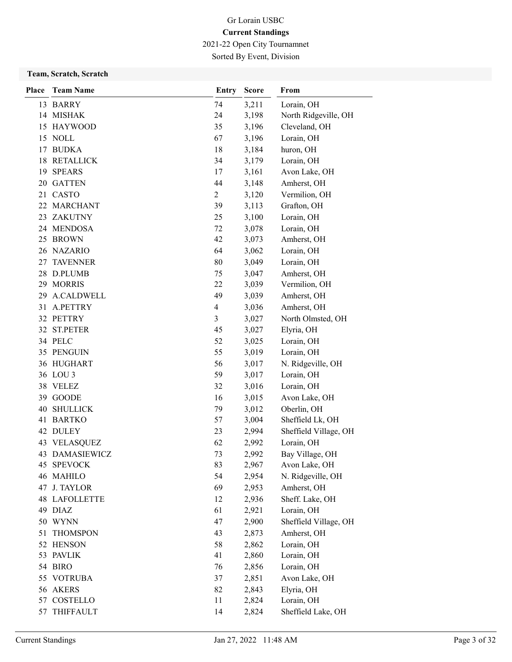2021-22 Open City Tournamnet

Sorted By Event, Division

### Team, Scratch, Scratch

| <b>Place</b> | <b>Team Name</b>      | Entry          | <b>Score</b>   | From                     |
|--------------|-----------------------|----------------|----------------|--------------------------|
|              | 13 BARRY              | 74             | 3,211          | Lorain, OH               |
|              | 14 MISHAK             | 24             | 3,198          | North Ridgeville, OH     |
|              | 15 HAYWOOD            | 35             | 3,196          | Cleveland, OH            |
|              | 15 NOLL               | 67             | 3,196          | Lorain, OH               |
|              | 17 BUDKA              | 18             | 3,184          | huron, OH                |
|              | 18 RETALLICK          | 34             | 3,179          | Lorain, OH               |
|              | 19 SPEARS             | 17             | 3,161          | Avon Lake, OH            |
|              | 20 GATTEN             | 44             | 3,148          | Amherst, OH              |
|              | 21 CASTO              | $\overline{c}$ | 3,120          | Vermilion, OH            |
| 22           | <b>MARCHANT</b>       | 39             | 3,113          | Grafton, OH              |
| 23           | ZAKUTNY               | 25             | 3,100          | Lorain, OH               |
|              | 24 MENDOSA            | 72             | 3,078          | Lorain, OH               |
| 25           | <b>BROWN</b>          | 42             | 3,073          | Amherst, OH              |
|              | 26 NAZARIO            | 64             | 3,062          | Lorain, OH               |
| 27           | <b>TAVENNER</b>       | 80             | 3,049          | Lorain, OH               |
|              | 28 D.PLUMB            | 75             | 3,047          | Amherst, OH              |
|              | 29 MORRIS             | 22             | 3,039          | Vermilion, OH            |
| 29           | <b>A.CALDWELL</b>     | 49             | 3,039          | Amherst, OH              |
| 31           | A.PETTRY              | $\overline{4}$ | 3,036          | Amherst, OH              |
|              | 32 PETTRY             | 3              | 3,027          | North Olmsted, OH        |
|              | 32 ST.PETER           | 45             | 3,027          | Elyria, OH               |
|              | 34 PELC<br>35 PENGUIN | 52<br>55       | 3,025<br>3,019 | Lorain, OH<br>Lorain, OH |
|              | 36 HUGHART            | 56             | 3,017          | N. Ridgeville, OH        |
|              | 36 LOU 3              | 59             | 3,017          | Lorain, OH               |
|              | 38 VELEZ              | 32             | 3,016          | Lorain, OH               |
| 39           | <b>GOODE</b>          | 16             | 3,015          | Avon Lake, OH            |
| 40           | <b>SHULLICK</b>       | 79             | 3,012          | Oberlin, OH              |
| 41           | <b>BARTKO</b>         | 57             | 3,004          | Sheffield Lk, OH         |
| 42           | <b>DULEY</b>          | 23             | 2,994          | Sheffield Village, OH    |
| 43           | <b>VELASQUEZ</b>      | 62             | 2,992          | Lorain, OH               |
|              | 43 DAMASIEWICZ        | 73             | 2,992          | Bay Village, OH          |
|              | 45 SPEVOCK            | 83             | 2,967          | Avon Lake, OH            |
|              | 46 MAHILO             | 54             | 2,954          | N. Ridgeville, OH        |
|              | 47 J. TAYLOR          | 69             | 2,953          | Amherst, OH              |
|              | <b>48 LAFOLLETTE</b>  | 12             | 2,936          | Sheff. Lake, OH          |
|              | 49 DIAZ               | 61             | 2,921          | Lorain, OH               |
|              | 50 WYNN               | 47             | 2,900          | Sheffield Village, OH    |
| 51           | <b>THOMSPON</b>       | 43             | 2,873          | Amherst, OH              |
|              | 52 HENSON             | 58             | 2,862          | Lorain, OH               |
|              | 53 PAVLIK             | 41             | 2,860          | Lorain, OH               |
|              | 54 BIRO               | 76             | 2,856          | Lorain, OH               |
|              | 55 VOTRUBA            | 37             | 2,851          | Avon Lake, OH            |
|              | 56 AKERS              | 82             | 2,843          | Elyria, OH               |
|              | 57 COSTELLO           | 11             | 2,824          | Lorain, OH               |
| 57           | THIFFAULT             | 14             | 2,824          | Sheffield Lake, OH       |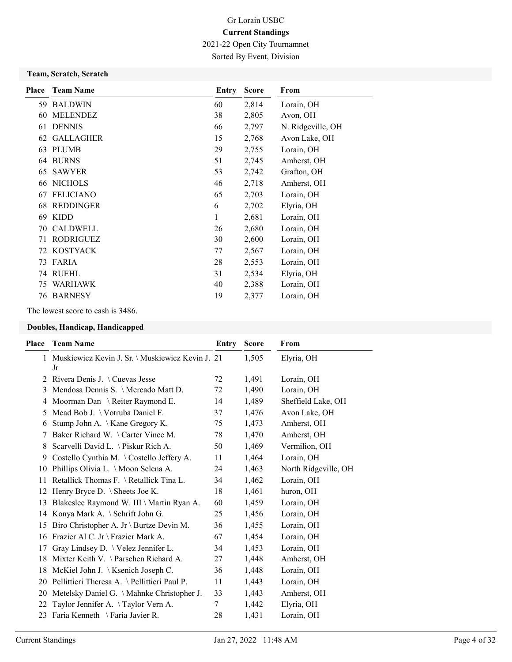2021-22 Open City Tournamnet

Sorted By Event, Division

### Team, Scratch, Scratch

| Place | <b>Team Name</b> | Entry | <b>Score</b> | From              |
|-------|------------------|-------|--------------|-------------------|
|       | 59 BALDWIN       | 60    | 2,814        | Lorain, OH        |
| 60    | <b>MELENDEZ</b>  | 38    | 2,805        | Avon, OH          |
| 61    | <b>DENNIS</b>    | 66    | 2,797        | N. Ridgeville, OH |
| 62    | <b>GALLAGHER</b> | 15    | 2,768        | Avon Lake, OH     |
| 63    | <b>PLUMB</b>     | 29    | 2,755        | Lorain, OH        |
| 64    | <b>BURNS</b>     | 51    | 2,745        | Amherst, OH       |
| 65    | <b>SAWYER</b>    | 53    | 2,742        | Grafton, OH       |
| 66    | <b>NICHOLS</b>   | 46    | 2,718        | Amherst, OH       |
| 67    | <b>FELICIANO</b> | 65    | 2,703        | Lorain, OH        |
| 68    | REDDINGER        | 6     | 2,702        | Elyria, OH        |
| 69    | <b>KIDD</b>      | 1     | 2,681        | Lorain, OH        |
| 70    | <b>CALDWELL</b>  | 26    | 2,680        | Lorain, OH        |
| 71    | <b>RODRIGUEZ</b> | 30    | 2,600        | Lorain, OH        |
| 72.   | KOSTYACK         | 77    | 2,567        | Lorain, OH        |
| 73    | FARIA            | 28    | 2,553        | Lorain, OH        |
| 74    | <b>RUEHL</b>     | 31    | 2,534        | Elyria, OH        |
| 75    | WARHAWK          | 40    | 2,388        | Lorain, OH        |
| 76    | <b>BARNESY</b>   | 19    | 2,377        | Lorain, OH        |

### The lowest score to cash is 3486.

### Doubles, Handicap, Handicapped

| Place         | <b>Team Name</b>                                       | Entry | <b>Score</b> | From                 |
|---------------|--------------------------------------------------------|-------|--------------|----------------------|
| 1             | Muskiewicz Kevin J. Sr. \ Muskiewicz Kevin J. 21<br>Jr |       | 1,505        | Elyria, OH           |
| $\mathcal{L}$ | Rivera Denis J. $\setminus$ Cuevas Jesse               | 72    | 1,491        | Lorain, OH           |
| 3             | Mendosa Dennis S. \ Mercado Matt D.                    | 72    | 1,490        | Lorain, OH           |
| 4             | Moorman Dan \ Reiter Raymond E.                        | 14    | 1,489        | Sheffield Lake, OH   |
| 5             | Mead Bob J. \ Votruba Daniel F.                        | 37    | 1,476        | Avon Lake, OH        |
| 6             | Stump John A. \ Kane Gregory K.                        | 75    | 1,473        | Amherst, OH          |
| 7             | Baker Richard W. \ Carter Vince M.                     | 78    | 1,470        | Amherst, OH          |
| 8             | Scarvelli David L. \ Piskur Rich A.                    | 50    | 1,469        | Vermilion, OH        |
| 9.            | Costello Cynthia M. \Costello Jeffery A.               | 11    | 1,464        | Lorain, OH           |
| 10            | Phillips Olivia L. \ Moon Selena A.                    | 24    | 1,463        | North Ridgeville, OH |
| 11            | Retallick Thomas F. \ Retallick Tina L.                | 34    | 1,462        | Lorain, OH           |
| 12            | Henry Bryce D. $\setminus$ Sheets Joe K.               | 18    | 1,461        | huron, OH            |
| 13            | Blakeslee Raymond W. III \ Martin Ryan A.              | 60    | 1,459        | Lorain, OH           |
| 14            | Konya Mark A. $\setminus$ Schrift John G.              | 25    | 1,456        | Lorain, OH           |
| 15            | Biro Christopher A. Jr \ Burtze Devin M.               | 36    | 1,455        | Lorain, OH           |
| 16            | Frazier Al C. Jr \ Frazier Mark A.                     | 67    | 1,454        | Lorain, OH           |
| 17            | Gray Lindsey D. \ Velez Jennifer L.                    | 34    | 1,453        | Lorain, OH           |
| 18            | Mixter Keith V. \ Parschen Richard A.                  | 27    | 1,448        | Amherst, OH          |
|               | 18 McKiel John J. \ Ksenich Joseph C.                  | 36    | 1,448        | Lorain, OH           |
|               | 20 Pellittieri Theresa A. \ Pellittieri Paul P.        | 11    | 1,443        | Lorain, OH           |
| 20            | Metelsky Daniel G. \Mahnke Christopher J.              | 33    | 1,443        | Amherst, OH          |
| 22            | Taylor Jennifer A. \Taylor Vern A.                     | 7     | 1,442        | Elyria, OH           |
| 23            | Faria Kenneth \ Faria Javier R.                        | 28    | 1,431        | Lorain, OH           |
|               |                                                        |       |              |                      |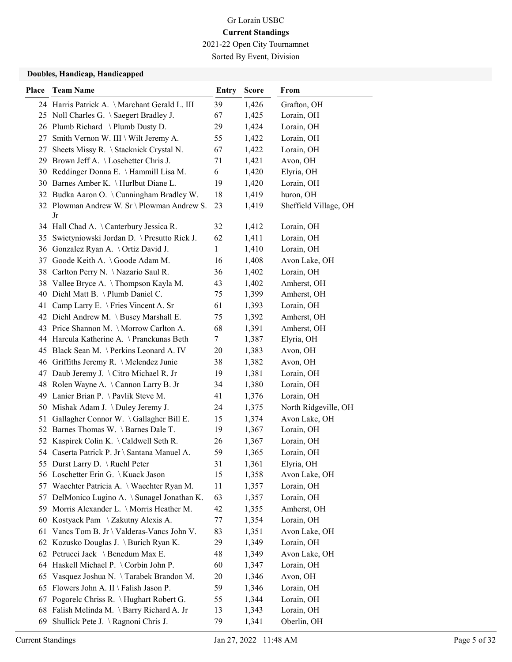2021-22 Open City Tournamnet Sorted By Event, Division

### Doubles, Handicap, Handicapped

| <b>Place</b> | <b>Team Name</b>                                  | <b>Entry</b> | <b>Score</b> | From                  |
|--------------|---------------------------------------------------|--------------|--------------|-----------------------|
|              | 24 Harris Patrick A. \Marchant Gerald L. III      | 39           | 1,426        | Grafton, OH           |
|              | 25 Noll Charles G. \ Saegert Bradley J.           | 67           | 1,425        | Lorain, OH            |
|              | 26 Plumb Richard \Plumb Dusty D.                  | 29           | 1,424        | Lorain, OH            |
|              | 27 Smith Vernon W. III \ Wilt Jeremy A.           | 55           | 1,422        | Lorain, OH            |
| 27           | Sheets Missy R. \ Stacknick Crystal N.            | 67           | 1,422        | Lorain, OH            |
|              | 29 Brown Jeff A. \Loschetter Chris J.             | 71           | 1,421        | Avon, OH              |
|              | 30 Reddinger Donna E. \Hammill Lisa M.            | 6            | 1,420        | Elyria, OH            |
|              | 30 Barnes Amber K. \ Hurlbut Diane L.             | 19           | 1,420        | Lorain, OH            |
|              | 32 Budka Aaron O. \Cunningham Bradley W.          | 18           | 1,419        | huron, OH             |
|              | 32 Plowman Andrew W. Sr \ Plowman Andrew S.<br>Jr | 23           | 1,419        | Sheffield Village, OH |
|              | 34 Hall Chad A. \Canterbury Jessica R.            | 32           | 1,412        | Lorain, OH            |
| 35           | Swietyniowski Jordan D. \ Presutto Rick J.        | 62           | 1,411        | Lorain, OH            |
| 36           | Gonzalez Ryan A. \ Ortiz David J.                 | $\mathbf{1}$ | 1,410        | Lorain, OH            |
|              | 37 Goode Keith A. \Goode Adam M.                  | 16           | 1,408        | Avon Lake, OH         |
|              | 38 Carlton Perry N. \Nazario Saul R.              | 36           | 1,402        | Lorain, OH            |
|              | 38 Vallee Bryce A. \Thompson Kayla M.             | 43           | 1,402        | Amherst, OH           |
|              | 40 Diehl Matt B. \Plumb Daniel C.                 | 75           | 1,399        | Amherst, OH           |
|              | 41 Camp Larry E. \ Fries Vincent A. Sr            | 61           | 1,393        | Lorain, OH            |
|              | 42 Diehl Andrew M. \ Busey Marshall E.            | 75           | 1,392        | Amherst, OH           |
|              | 43 Price Shannon M. \Morrow Carlton A.            | 68           | 1,391        | Amherst, OH           |
|              | 44 Harcula Katherine A. \Pranckunas Beth          | 7            | 1,387        | Elyria, OH            |
|              | 45 Black Sean M. \Perkins Leonard A. IV           | 20           | 1,383        | Avon, OH              |
|              | 46 Griffiths Jeremy R. \ Melendez Junie           | 38           | 1,382        | Avon, OH              |
|              | 47 Daub Jeremy J. \ Citro Michael R. Jr           | 19           | 1,381        | Lorain, OH            |
|              | 48 Rolen Wayne A. \Cannon Larry B. Jr             | 34           | 1,380        | Lorain, OH            |
| 49.          | Lanier Brian P. \Pavlik Steve M.                  | 41           | 1,376        | Lorain, OH            |
| 50           | Mishak Adam J. \ Duley Jeremy J.                  | 24           | 1,375        | North Ridgeville, OH  |
| 51           | Gallagher Connor W. \Gallagher Bill E.            | 15           | 1,374        | Avon Lake, OH         |
|              | 52 Barnes Thomas W. \Barnes Dale T.               | 19           | 1,367        | Lorain, OH            |
|              | 52 Kaspirek Colin K. \Caldwell Seth R.            | 26           | 1,367        | Lorain, OH            |
|              | 54 Caserta Patrick P. Jr \ Santana Manuel A.      | 59           | 1,365        | Lorain, OH            |
|              | 55 Durst Larry D. \Ruehl Peter                    | 31           | 1,361        | Elyria, OH            |
|              | 56 Loschetter Erin G. \Kuack Jason                | 15           | 1,358        | Avon Lake, OH         |
|              | 57 Waechter Patricia A. \Waechter Ryan M.         | 11           | 1,357        | Lorain, OH            |
|              | 57 DelMonico Lugino A. \ Sunagel Jonathan K.      | 63           | 1,357        | Lorain, OH            |
|              | 59 Morris Alexander L. \ Morris Heather M.        | 42           | 1,355        | Amherst, OH           |
| 60           | Kostyack Pam \ Zakutny Alexis A.                  | 77           | 1,354        | Lorain, OH            |
|              | 61 Vancs Tom B. Jr \ Valderas-Vancs John V.       | 83           | 1,351        | Avon Lake, OH         |
|              | 62 Kozusko Douglas J. \ Burich Ryan K.            | 29           | 1,349        | Lorain, OH            |
|              | 62 Petrucci Jack \ Benedum Max E.                 | 48           | 1,349        | Avon Lake, OH         |
|              | 64 Haskell Michael P. \ Corbin John P.            | 60           | 1,347        | Lorain, OH            |
| 65           | Vasquez Joshua N. \Tarabek Brandon M.             | 20           | 1,346        | Avon, OH              |
| 65           | Flowers John A. II \ Falish Jason P.              | 59           | 1,346        | Lorain, OH            |
| 67           | Pogorelc Chriss R. \ Hughart Robert G.            | 55           | 1,344        | Lorain, OH            |
| 68           | Falish Melinda M. \ Barry Richard A. Jr           | 13           | 1,343        | Lorain, OH            |
| 69           | Shullick Pete J. \Ragnoni Chris J.                | 79           | 1,341        | Oberlin, OH           |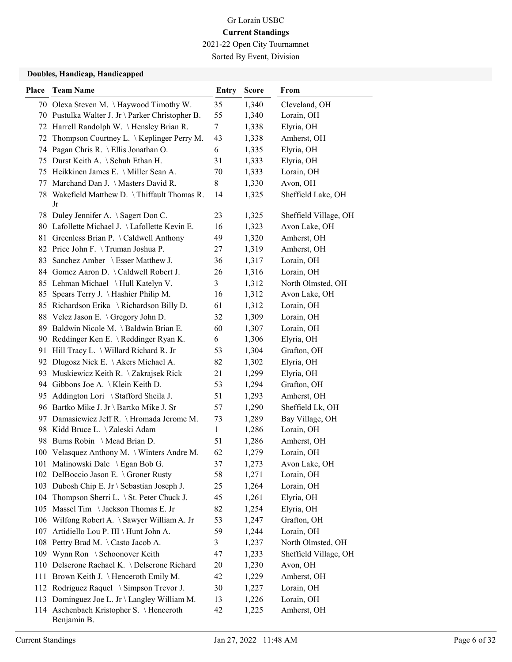Sorted By Event, Division

### Doubles, Handicap, Handicapped

| <b>Place</b> | <b>Team Name</b>                                       | <b>Entry</b> | <b>Score</b> | From                  |
|--------------|--------------------------------------------------------|--------------|--------------|-----------------------|
|              | 70 Olexa Steven M. \Haywood Timothy W.                 | 35           | 1,340        | Cleveland, OH         |
|              | 70 Pustulka Walter J. Jr \ Parker Christopher B.       | 55           | 1,340        | Lorain, OH            |
|              | 72 Harrell Randolph W. \Hensley Brian R.               | 7            | 1,338        | Elyria, OH            |
| 72           | Thompson Courtney L. \ Keplinger Perry M.              | 43           | 1,338        | Amherst, OH           |
| 74           | Pagan Chris R. \ Ellis Jonathan O.                     | 6            | 1,335        | Elyria, OH            |
| 75           | Durst Keith A. \ Schuh Ethan H.                        | 31           | 1,333        | Elyria, OH            |
|              | 75 Heikkinen James E. \ Miller Sean A.                 | 70           | 1,333        | Lorain, OH            |
| 77           | Marchand Dan J. \ Masters David R.                     | 8            | 1,330        | Avon, OH              |
|              | 78 Wakefield Matthew D. \Thiffault Thomas R.<br>Jr     | 14           | 1,325        | Sheffield Lake, OH    |
|              | 78 Duley Jennifer A. \ Sagert Don C.                   | 23           | 1,325        | Sheffield Village, OH |
|              | 80 Lafollette Michael J. \Lafollette Kevin E.          | 16           | 1,323        | Avon Lake, OH         |
|              | 81 Greenless Brian P. \Caldwell Anthony                | 49           | 1,320        | Amherst, OH           |
|              | 82 Price John F. \Truman Joshua P.                     | 27           | 1,319        | Amherst, OH           |
|              | 83 Sanchez Amber \ Esser Matthew J.                    | 36           | 1,317        | Lorain, OH            |
|              | 84 Gomez Aaron D. \Caldwell Robert J.                  | 26           | 1,316        | Lorain, OH            |
|              | 85 Lehman Michael \Hull Katelyn V.                     | 3            | 1,312        | North Olmsted, OH     |
|              | 85 Spears Terry J. \Hashier Philip M.                  | 16           | 1,312        | Avon Lake, OH         |
|              | 85 Richardson Erika \ Richardson Billy D.              | 61           | 1,312        | Lorain, OH            |
|              | 88 Velez Jason E. \ Gregory John D.                    | 32           | 1,309        | Lorain, OH            |
|              | 89 Baldwin Nicole M. \Baldwin Brian E.                 | 60           | 1,307        | Lorain, OH            |
|              | 90 Reddinger Ken E. \Reddinger Ryan K.                 | 6            | 1,306        | Elyria, OH            |
|              | 91 Hill Tracy L. \ Willard Richard R. Jr               | 53           | 1,304        | Grafton, OH           |
|              | 92 Dlugosz Nick E. \Akers Michael A.                   | 82           | 1,302        | Elyria, OH            |
| 93           | Muskiewicz Keith R. \ Zakrajsek Rick                   | 21           | 1,299        | Elyria, OH            |
|              | 94 Gibbons Joe A. \Klein Keith D.                      | 53           | 1,294        | Grafton, OH           |
| 95.          | Addington Lori \ Stafford Sheila J.                    | 51           | 1,293        | Amherst, OH           |
|              | 96 Bartko Mike J. Jr \ Bartko Mike J. Sr               | 57           | 1,290        | Sheffield Lk, OH      |
|              | 97 Damasiewicz Jeff R. \ Hromada Jerome M.             | 73           | 1,289        | Bay Village, OH       |
|              | 98 Kidd Bruce L. \ Zaleski Adam                        | 1            | 1,286        | Lorain, OH            |
|              | 98 Burns Robin \ Mead Brian D.                         | 51           | 1,286        | Amherst, OH           |
|              | 100 Velasquez Anthony M. \ Winters Andre M.            | 62           | 1,279        | Lorain, OH            |
|              | 101 Malinowski Dale \ Egan Bob G.                      | 37           | 1,273        | Avon Lake, OH         |
|              | 102 DelBoccio Jason E. \ Groner Rusty                  | 58           | 1,271        | Lorain, OH            |
|              | 103 Dubosh Chip E. Jr \ Sebastian Joseph J.            | 25           | 1,264        | Lorain, OH            |
| 104          | Thompson Sherri L. \ St. Peter Chuck J.                | 45           | 1,261        | Elyria, OH            |
|              | 105 Massel Tim \Jackson Thomas E. Jr                   | 82           | 1,254        | Elyria, OH            |
|              | 106 Wilfong Robert A. \ Sawyer William A. Jr           | 53           | 1,247        | Grafton, OH           |
| 107          | Artidiello Lou P. III \ Hunt John A.                   | 59           | 1,244        | Lorain, OH            |
| 108          | Pettry Brad M. \Casto Jacob A.                         | 3            | 1,237        | North Olmsted, OH     |
|              | 109 Wynn Ron \ Schoonover Keith                        | 47           | 1,233        | Sheffield Village, OH |
|              | 110 Delserone Rachael K. \ Delserone Richard           | 20           | 1,230        | Avon, OH              |
|              | 111 Brown Keith J. \Henceroth Emily M.                 | 42           | 1,229        | Amherst, OH           |
| 112          | Rodriguez Raquel \ Simpson Trevor J.                   | 30           | 1,227        | Lorain, OH            |
|              | 113 Dominguez Joe L. Jr \ Langley William M.           | 13           | 1,226        | Lorain, OH            |
|              | 114 Aschenbach Kristopher S. \Henceroth<br>Benjamin B. | 42           | 1,225        | Amherst, OH           |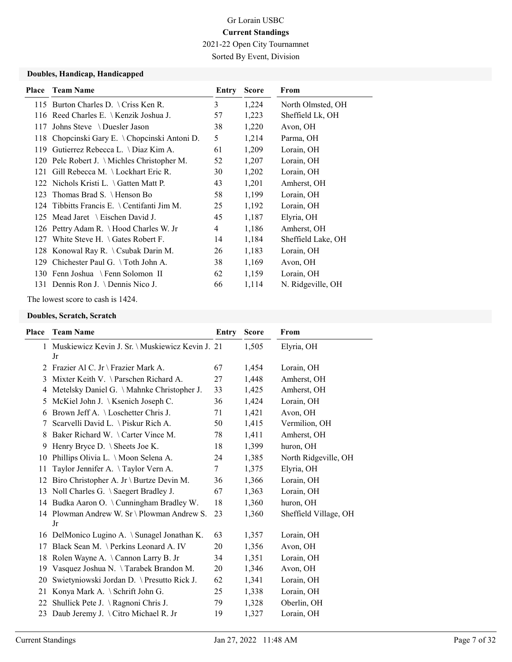Sorted By Event, Division

### Doubles, Handicap, Handicapped

| Place | <b>Team Name</b>                               | Entry          | <b>Score</b> | From               |
|-------|------------------------------------------------|----------------|--------------|--------------------|
|       | 115 Burton Charles D. \Criss Ken R.            | 3              | 1,224        | North Olmsted, OH  |
|       | 116 Reed Charles E. \ Kenzik Joshua J.         | 57             | 1,223        | Sheffield Lk, OH   |
|       | 117 Johns Steve \Duesler Jason                 | 38             | 1,220        | Avon, OH           |
|       | 118 Chopcinski Gary E. \Chopcinski Antoni D.   | 5              | 1,214        | Parma, OH          |
| 119   | Gutierrez Rebecca L. \ Diaz Kim A.             | 61             | 1,209        | Lorain, OH         |
|       | 120 Pelc Robert J. \ Michles Christopher M.    | 52             | 1,207        | Lorain, OH         |
|       | 121 Gill Rebecca M. \Lockhart Eric R.          | 30             | 1,202        | Lorain, OH         |
|       | 122 Nichols Kristi L. $\langle$ Gatten Matt P. | 43             | 1,201        | Amherst, OH        |
|       | 123 Thomas Brad S. \ Henson Bo                 | 58             | 1,199        | Lorain, OH         |
|       | 124 Tibbitts Francis E. \ Centifanti Jim M.    | 25             | 1,192        | Lorain, OH         |
|       | 125 Mead Jaret \ Eischen David J.              | 45             | 1,187        | Elyria, OH         |
|       | 126 Pettry Adam R. \Hood Charles W. Jr         | $\overline{4}$ | 1,186        | Amherst, OH        |
| 127   | White Steve H. $\setminus$ Gates Robert F.     | 14             | 1,184        | Sheffield Lake, OH |
|       | 128 Konowal Ray R. \ Csubak Darin M.           | 26             | 1,183        | Lorain, OH         |
|       | 129 Chichester Paul G. \Toth John A.           | 38             | 1,169        | Avon, OH           |
|       | 130 Fenn Joshua \ Fenn Solomon II              | 62             | 1,159        | Lorain, OH         |
|       | 131 Dennis Ron J. \Dennis Nico J.              | 66             | 1,114        | N. Ridgeville, OH  |

The lowest score to cash is 1424.

#### Doubles, Scratch, Scratch

| Place | <b>Team Name</b>                                         | Entry | <b>Score</b> | From                  |
|-------|----------------------------------------------------------|-------|--------------|-----------------------|
| 1     | Muskiewicz Kevin J. Sr. \ Muskiewicz Kevin J. 21<br>Jr   |       | 1,505        | Elyria, OH            |
| 2     | Frazier Al C. Jr \ Frazier Mark A.                       | 67    | 1,454        | Lorain, OH            |
| 3     | Mixter Keith V. \ Parschen Richard A.                    | 27    | 1,448        | Amherst, OH           |
| 4     | Metelsky Daniel G. \ Mahnke Christopher J.               | 33    | 1,425        | Amherst, OH           |
| 5     | McKiel John J. \ Ksenich Joseph C.                       | 36    | 1,424        | Lorain, OH            |
| 6     | Brown Jeff A. \ Loschetter Chris J.                      | 71    | 1,421        | Avon, OH              |
| 7     | Scarvelli David L. \ Piskur Rich A.                      | 50    | 1,415        | Vermilion, OH         |
| 8     | Baker Richard W. \Carter Vince M.                        | 78    | 1,411        | Amherst, OH           |
| 9     | Henry Bryce D. $\setminus$ Sheets Joe K.                 | 18    | 1,399        | huron, OH             |
| 10    | Phillips Olivia L. \ Moon Selena A.                      | 24    | 1,385        | North Ridgeville, OH  |
| 11    | Taylor Jennifer A. \Taylor Vern A.                       | 7     | 1,375        | Elyria, OH            |
| 12    | Biro Christopher A. Jr \ Burtze Devin M.                 | 36    | 1,366        | Lorain, OH            |
| 13    | Noll Charles G. \ Saegert Bradley J.                     | 67    | 1,363        | Lorain, OH            |
| 14    | Budka Aaron O. \ Cunningham Bradley W.                   | 18    | 1,360        | huron, OH             |
| 14    | Plowman Andrew W. $Sr \setminus$ Plowman Andrew S.<br>Jr | 23    | 1,360        | Sheffield Village, OH |
|       | 16 DelMonico Lugino A. \ Sunagel Jonathan K.             | 63    | 1,357        | Lorain, OH            |
| 17    | Black Sean M. \ Perkins Leonard A. IV                    | 20    | 1,356        | Avon, OH              |
| 18    | Rolen Wayne A. \Cannon Larry B. Jr                       | 34    | 1,351        | Lorain, OH            |
| 19    | Vasquez Joshua N. \Tarabek Brandon M.                    | 20    | 1,346        | Avon, OH              |
| 20    | Swietyniowski Jordan D. \ Presutto Rick J.               | 62    | 1,341        | Lorain, OH            |
| 21    | Konya Mark A. \ Schrift John G.                          | 25    | 1,338        | Lorain, OH            |
| 22    | Shullick Pete J. \Ragnoni Chris J.                       | 79    | 1,328        | Oberlin, OH           |
| 23    | Daub Jeremy J. \ Citro Michael R. Jr                     | 19    | 1,327        | Lorain, OH            |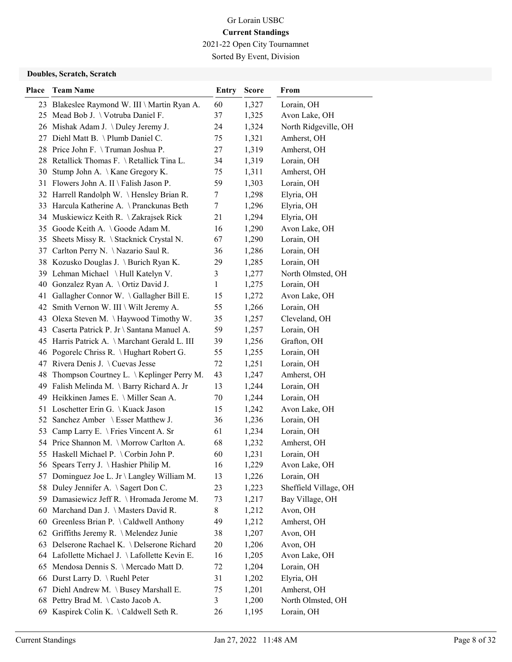Sorted By Event, Division

### Doubles, Scratch, Scratch

| <b>Place</b> | <b>Team Name</b>                              | Entry   | <b>Score</b> | From                  |
|--------------|-----------------------------------------------|---------|--------------|-----------------------|
|              | 23 Blakeslee Raymond W. III \ Martin Ryan A.  | 60      | 1,327        | Lorain, OH            |
|              | 25 Mead Bob J. \ Votruba Daniel F.            | 37      | 1,325        | Avon Lake, OH         |
|              | 26 Mishak Adam J. \Duley Jeremy J.            | 24      | 1,324        | North Ridgeville, OH  |
|              | 27 Diehl Matt B. \Plumb Daniel C.             | 75      | 1,321        | Amherst, OH           |
|              | 28 Price John F. \Truman Joshua P.            | 27      | 1,319        | Amherst, OH           |
|              | 28 Retallick Thomas F. \ Retallick Tina L.    | 34      | 1,319        | Lorain, OH            |
|              | 30 Stump John A. \ Kane Gregory K.            | 75      | 1,311        | Amherst, OH           |
|              | 31 Flowers John A. II \ Falish Jason P.       | 59      | 1,303        | Lorain, OH            |
|              | 32 Harrell Randolph W. \Hensley Brian R.      | 7       | 1,298        | Elyria, OH            |
|              | 33 Harcula Katherine A. \Pranckunas Beth      | 7       | 1,296        | Elyria, OH            |
|              | 34 Muskiewicz Keith R. \ Zakrajsek Rick       | 21      | 1,294        | Elyria, OH            |
|              | 35 Goode Keith A. \Goode Adam M.              | 16      | 1,290        | Avon Lake, OH         |
|              | 35 Sheets Missy R. \ Stacknick Crystal N.     | 67      | 1,290        | Lorain, OH            |
|              | 37 Carlton Perry N. \Nazario Saul R.          | 36      | 1,286        | Lorain, OH            |
|              | 38 Kozusko Douglas J. \ Burich Ryan K.        | 29      | 1,285        | Lorain, OH            |
|              | 39 Lehman Michael \Hull Katelyn V.            | 3       | 1,277        | North Olmsted, OH     |
|              | 40 Gonzalez Ryan A. \Ortiz David J.           | 1       | 1,275        | Lorain, OH            |
| 41           | Gallagher Connor W. \Gallagher Bill E.        | 15      | 1,272        | Avon Lake, OH         |
|              | 42 Smith Vernon W. III \ Wilt Jeremy A.       | 55      | 1,266        | Lorain, OH            |
|              | 43 Olexa Steven M. \Haywood Timothy W.        | 35      | 1,257        | Cleveland, OH         |
|              | 43 Caserta Patrick P. Jr \ Santana Manuel A.  | 59      | 1,257        | Lorain, OH            |
|              | 45 Harris Patrick A. \Marchant Gerald L. III  | 39      | 1,256        | Grafton, OH           |
|              | 46 Pogorelc Chriss R. \ Hughart Robert G.     | 55      | 1,255        | Lorain, OH            |
|              | 47 Rivera Denis J. \Cuevas Jesse              | 72      | 1,251        | Lorain, OH            |
|              | 48 Thompson Courtney L. \ Keplinger Perry M.  | 43      | 1,247        | Amherst, OH           |
|              | 49 Falish Melinda M. \ Barry Richard A. Jr    | 13      | 1,244        | Lorain, OH            |
|              | 49 Heikkinen James E. \ Miller Sean A.        | 70      | 1,244        | Lorain, OH            |
|              | 51 Loschetter Erin G. \ Kuack Jason           | 15      | 1,242        | Avon Lake, OH         |
|              | 52 Sanchez Amber \ Esser Matthew J.           | 36      | 1,236        | Lorain, OH            |
|              | 53 Camp Larry E. \ Fries Vincent A. Sr        | 61      | 1,234        | Lorain, OH            |
|              | 54 Price Shannon M. \Morrow Carlton A.        | 68      | 1,232        | Amherst, OH           |
|              | 55 Haskell Michael P. \ Corbin John P.        | 60      | 1,231        | Lorain, OH            |
|              | 56 Spears Terry J. \Hashier Philip M.         | 16      | 1,229        | Avon Lake, OH         |
| 57           | Dominguez Joe L. Jr \ Langley William M.      | 13      | 1,226        | Lorain, OH            |
| 58           | Duley Jennifer A. \ Sagert Don C.             | 23      | 1,223        | Sheffield Village, OH |
| 59           | Damasiewicz Jeff R. \ Hromada Jerome M.       | 73      | 1,217        | Bay Village, OH       |
| 60           | Marchand Dan J. \ Masters David R.            | 8       | 1,212        | Avon, OH              |
|              | 60 Greenless Brian P. \Caldwell Anthony       | 49      | 1,212        | Amherst, OH           |
|              | 62 Griffiths Jeremy R. \ Melendez Junie       | 38      | 1,207        | Avon, OH              |
| 63           | Delserone Rachael K. \Delserone Richard       | 20      | 1,206        | Avon, OH              |
|              | 64 Lafollette Michael J. \Lafollette Kevin E. | 16      | 1,205        | Avon Lake, OH         |
| 65           | Mendosa Dennis S. \ Mercado Matt D.           | 72      | 1,204        | Lorain, OH            |
| 66           | Durst Larry D. \ Ruehl Peter                  | 31      | 1,202        | Elyria, OH            |
| 67           | Diehl Andrew M. \ Busey Marshall E.           | 75<br>3 | 1,201        | Amherst, OH           |
|              | 68 Pettry Brad M. \Casto Jacob A.             |         | 1,200        | North Olmsted, OH     |
| 69           | Kaspirek Colin K. \Caldwell Seth R.           | 26      | 1,195        | Lorain, OH            |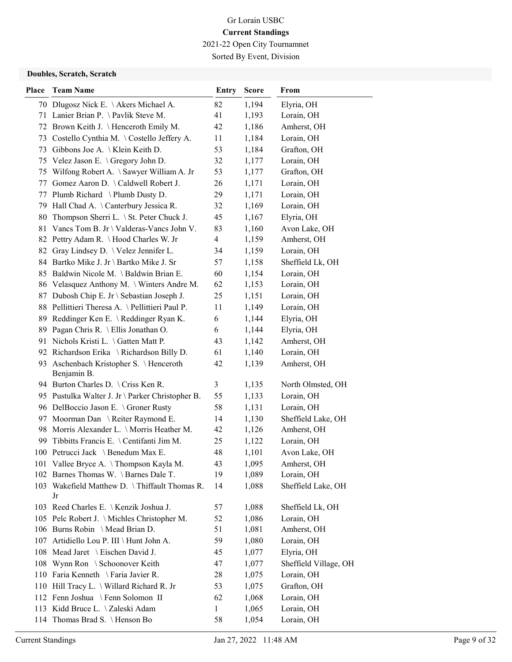2021-22 Open City Tournamnet Sorted By Event, Division

#### Doubles, Scratch, Scratch

| <b>Place</b> | <b>Team Name</b>                                      | Entry          | <b>Score</b> | From                  |
|--------------|-------------------------------------------------------|----------------|--------------|-----------------------|
|              | 70 Dlugosz Nick E. \Akers Michael A.                  | 82             | 1,194        | Elyria, OH            |
|              | 71 Lanier Brian P. \Pavlik Steve M.                   | 41             | 1,193        | Lorain, OH            |
|              | 72 Brown Keith J. \ Henceroth Emily M.                | 42             | 1,186        | Amherst, OH           |
|              | 73 Costello Cynthia M. \Costello Jeffery A.           | 11             | 1,184        | Lorain, OH            |
|              | 73 Gibbons Joe A. \Klein Keith D.                     | 53             | 1,184        | Grafton, OH           |
|              | 75 Velez Jason E. \ Gregory John D.                   | 32             | 1,177        | Lorain, OH            |
|              | 75 Wilfong Robert A. \ Sawyer William A. Jr           | 53             | 1,177        | Grafton, OH           |
|              | 77 Gomez Aaron D. \Caldwell Robert J.                 | 26             | 1,171        | Lorain, OH            |
|              | 77 Plumb Richard \ Plumb Dusty D.                     | 29             | 1,171        | Lorain, OH            |
|              | 79 Hall Chad A. \Canterbury Jessica R.                | 32             | 1,169        | Lorain, OH            |
| 80           | Thompson Sherri L. \ St. Peter Chuck J.               | 45             | 1,167        | Elyria, OH            |
|              | 81 Vancs Tom B. Jr \ Valderas-Vancs John V.           | 83             | 1,160        | Avon Lake, OH         |
|              | 82 Pettry Adam R. \Hood Charles W. Jr                 | $\overline{4}$ | 1,159        | Amherst, OH           |
|              | 82 Gray Lindsey D. \Velez Jennifer L.                 | 34             | 1,159        | Lorain, OH            |
|              | 84 Bartko Mike J. Jr \ Bartko Mike J. Sr              | 57             | 1,158        | Sheffield Lk, OH      |
|              | 85 Baldwin Nicole M. \ Baldwin Brian E.               | 60             | 1,154        | Lorain, OH            |
|              | 86 Velasquez Anthony M. \ Winters Andre M.            | 62             | 1,153        | Lorain, OH            |
|              | 87 Dubosh Chip E. Jr \ Sebastian Joseph J.            | 25             | 1,151        | Lorain, OH            |
|              | 88 Pellittieri Theresa A. \Pellittieri Paul P.        | 11             | 1,149        | Lorain, OH            |
|              | 89 Reddinger Ken E. \Reddinger Ryan K.                | 6              | 1,144        | Elyria, OH            |
|              | 89 Pagan Chris R. \ Ellis Jonathan O.                 | 6              | 1,144        | Elyria, OH            |
|              | 91 Nichols Kristi L. \Gatten Matt P.                  | 43             | 1,142        | Amherst, OH           |
|              | 92 Richardson Erika \ Richardson Billy D.             | 61             | 1,140        | Lorain, OH            |
|              | 93 Aschenbach Kristopher S. \Henceroth<br>Benjamin B. | 42             | 1,139        | Amherst, OH           |
|              | 94 Burton Charles D. \ Criss Ken R.                   | 3              | 1,135        | North Olmsted, OH     |
|              | 95 Pustulka Walter J. Jr \ Parker Christopher B.      | 55             | 1,133        | Lorain, OH            |
|              | 96 DelBoccio Jason E. \ Groner Rusty                  | 58             | 1,131        | Lorain, OH            |
|              | 97 Moorman Dan \ Reiter Raymond E.                    | 14             | 1,130        | Sheffield Lake, OH    |
|              | 98 Morris Alexander L. \ Morris Heather M.            | 42             | 1,126        | Amherst, OH           |
|              | 99 Tibbitts Francis E. \ Centifanti Jim M.            | 25             | 1,122        | Lorain, OH            |
|              | 100 Petrucci Jack \ Benedum Max E.                    | 48             | 1,101        | Avon Lake, OH         |
|              | 101 Vallee Bryce A. \Thompson Kayla M.                | 43             | 1,095        | Amherst, OH           |
|              | 102 Barnes Thomas W. \Barnes Dale T.                  | 19             | 1,089        | Lorain, OH            |
|              | 103 Wakefield Matthew D. \Thiffault Thomas R.<br>Jr   | 14             | 1,088        | Sheffield Lake, OH    |
|              | 103 Reed Charles E. \ Kenzik Joshua J.                | 57             | 1,088        | Sheffield Lk, OH      |
|              | 105 Pelc Robert J. \ Michles Christopher M.           | 52             | 1,086        | Lorain, OH            |
|              | 106 Burns Robin \ Mead Brian D.                       | 51             | 1,081        | Amherst, OH           |
|              | 107 Artidiello Lou P. III \ Hunt John A.              | 59             | 1,080        | Lorain, OH            |
|              | 108 Mead Jaret \ Eischen David J.                     | 45             | 1,077        | Elyria, OH            |
|              | 108 Wynn Ron \ Schoonover Keith                       | 47             | 1,077        | Sheffield Village, OH |
|              | 110 Faria Kenneth \ Faria Javier R.                   | 28             | 1,075        | Lorain, OH            |
|              | 110 Hill Tracy L. \ Willard Richard R. Jr             | 53             | 1,075        | Grafton, OH           |
|              | 112 Fenn Joshua \ Fenn Solomon II                     | 62             | 1,068        | Lorain, OH            |
|              | 113 Kidd Bruce L. \ Zaleski Adam                      | 1              | 1,065        | Lorain, OH            |
|              | 114 Thomas Brad S. \Henson Bo                         | 58             | 1,054        | Lorain, OH            |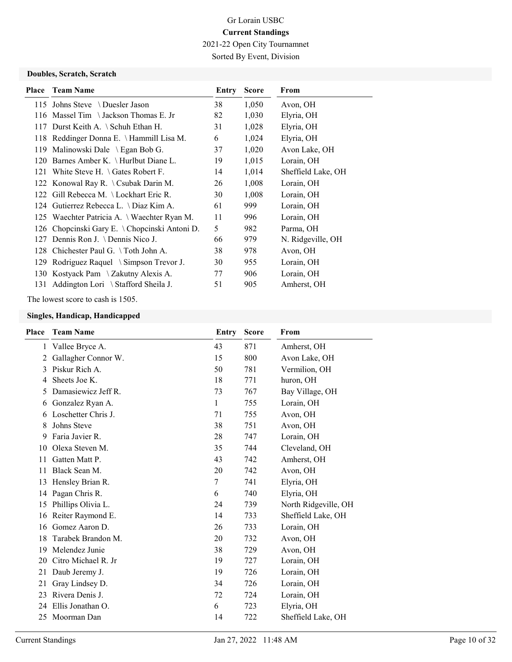2021-22 Open City Tournamnet Sorted By Event, Division

#### Doubles, Scratch, Scratch

| <b>Place</b> | <b>Team Name</b>                               | Entry | <b>Score</b> | From               |
|--------------|------------------------------------------------|-------|--------------|--------------------|
|              | 115 Johns Steve \Duesler Jason                 | 38    | 1,050        | Avon, OH           |
|              | 116 Massel Tim \ Jackson Thomas E. Jr          | 82    | 1,030        | Elyria, OH         |
|              | 117 Durst Keith A. \ Schuh Ethan H.            | 31    | 1,028        | Elyria, OH         |
|              | 118 Reddinger Donna E. \Hammill Lisa M.        | 6     | 1,024        | Elyria, OH         |
|              | 119 Malinowski Dale \ Egan Bob G.              | 37    | 1,020        | Avon Lake, OH      |
|              | 120 Barnes Amber K. \ Hurlbut Diane L.         | 19    | 1,015        | Lorain, OH         |
|              | 121 White Steve H. $\setminus$ Gates Robert F. | 14    | 1,014        | Sheffield Lake, OH |
|              | 122 Konowal Ray R. \ Csubak Darin M.           | 26    | 1,008        | Lorain, OH         |
|              | 122 Gill Rebecca M. \Lockhart Eric R.          | 30    | 1,008        | Lorain, OH         |
|              | 124 Gutierrez Rebecca L. \ Diaz Kim A.         | 61    | 999          | Lorain, OH         |
|              | 125 Waechter Patricia A. \ Waechter Ryan M.    | 11    | 996          | Lorain, OH         |
|              | 126 Chopcinski Gary E. \Chopcinski Antoni D.   | 5     | 982          | Parma, OH          |
|              | 127 Dennis Ron J. \ Dennis Nico J.             | 66    | 979          | N. Ridgeville, OH  |
|              | 128 Chichester Paul G. \Toth John A.           | 38    | 978          | Avon, OH           |
|              | 129 Rodriguez Raquel \ Simpson Trevor J.       | 30    | 955          | Lorain, OH         |
|              | 130 Kostyack Pam \ Zakutny Alexis A.           | 77    | 906          | Lorain, OH         |
|              | 131 Addington Lori \ Stafford Sheila J.        | 51    | 905          | Amherst, OH        |

The lowest score to cash is 1505.

| Place | <b>Team Name</b>     | Entry | <b>Score</b> | From                 |
|-------|----------------------|-------|--------------|----------------------|
| 1     | Vallee Bryce A.      | 43    | 871          | Amherst, OH          |
| 2     | Gallagher Connor W.  | 15    | 800          | Avon Lake, OH        |
| 3     | Piskur Rich A.       | 50    | 781          | Vermilion, OH        |
| 4     | Sheets Joe K.        | 18    | 771          | huron, OH            |
| 5     | Damasiewicz Jeff R.  | 73    | 767          | Bay Village, OH      |
| 6     | Gonzalez Ryan A.     | 1     | 755          | Lorain, OH           |
| 6     | Loschetter Chris J.  | 71    | 755          | Avon, OH             |
| 8     | Johns Steve          | 38    | 751          | Avon, OH             |
| 9     | Faria Javier R.      | 28    | 747          | Lorain, OH           |
| 10    | Olexa Steven M.      | 35    | 744          | Cleveland, OH        |
| 11    | Gatten Matt P.       | 43    | 742          | Amherst, OH          |
| 11    | Black Sean M.        | 20    | 742          | Avon, OH             |
| 13    | Hensley Brian R.     | 7     | 741          | Elyria, OH           |
| 14    | Pagan Chris R.       | 6     | 740          | Elyria, OH           |
| 15    | Phillips Olivia L.   | 24    | 739          | North Ridgeville, OH |
| 16    | Reiter Raymond E.    | 14    | 733          | Sheffield Lake, OH   |
| 16    | Gomez Aaron D.       | 26    | 733          | Lorain, OH           |
| 18    | Tarabek Brandon M.   | 20    | 732          | Avon, OH             |
| 19    | Melendez Junie       | 38    | 729          | Avon, OH             |
| 20    | Citro Michael R. Jr  | 19    | 727          | Lorain, OH           |
| 21    | Daub Jeremy J.       | 19    | 726          | Lorain, OH           |
| 21    | Gray Lindsey D.      | 34    | 726          | Lorain, OH           |
| 23    | Rivera Denis J.      | 72    | 724          | Lorain, OH           |
|       | 24 Ellis Jonathan O. | 6     | 723          | Elyria, OH           |
| 25    | Moorman Dan          | 14    | 722          | Sheffield Lake, OH   |
|       |                      |       |              |                      |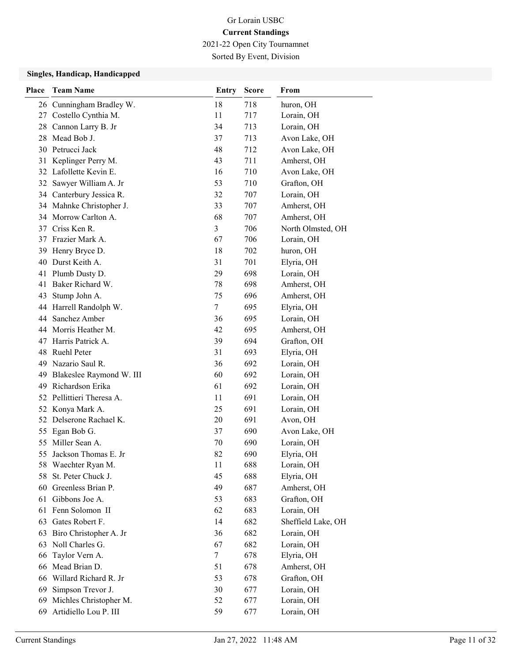2021-22 Open City Tournamnet

Sorted By Event, Division

| Place | <b>Team Name</b>            | Entry          | <b>Score</b> | From               |
|-------|-----------------------------|----------------|--------------|--------------------|
|       | 26 Cunningham Bradley W.    | 18             | 718          | huron, OH          |
|       | 27 Costello Cynthia M.      | 11             | 717          | Lorain, OH         |
|       | 28 Cannon Larry B. Jr       | 34             | 713          | Lorain, OH         |
|       | 28 Mead Bob J.              | 37             | 713          | Avon Lake, OH      |
|       | 30 Petrucci Jack            | 48             | 712          | Avon Lake, OH      |
| 31    | Keplinger Perry M.          | 43             | 711          | Amherst, OH        |
|       | 32 Lafollette Kevin E.      | 16             | 710          | Avon Lake, OH      |
|       | 32 Sawyer William A. Jr     | 53             | 710          | Grafton, OH        |
|       | 34 Canterbury Jessica R.    | 32             | 707          | Lorain, OH         |
|       | 34 Mahnke Christopher J.    | 33             | 707          | Amherst, OH        |
|       | 34 Morrow Carlton A.        | 68             | 707          | Amherst, OH        |
|       | 37 Criss Ken R.             | $\overline{3}$ | 706          | North Olmsted, OH  |
| 37    | Frazier Mark A.             | 67             | 706          | Lorain, OH         |
| 39    | Henry Bryce D.              | 18             | 702          | huron, OH          |
| 40    | Durst Keith A.              | 31             | 701          | Elyria, OH         |
| 41    | Plumb Dusty D.              | 29             | 698          | Lorain, OH         |
|       | 41 Baker Richard W.         | 78             | 698          | Amherst, OH        |
| 43    | Stump John A.               | 75             | 696          | Amherst, OH        |
|       | 44 Harrell Randolph W.      | 7              | 695          | Elyria, OH         |
|       | 44 Sanchez Amber            | 36             | 695          | Lorain, OH         |
|       | 44 Morris Heather M.        | 42             | 695          | Amherst, OH        |
| 47    | Harris Patrick A.           | 39             | 694          | Grafton, OH        |
|       | 48 Ruehl Peter              | 31             | 693          | Elyria, OH         |
| 49    | Nazario Saul R.             | 36             | 692          | Lorain, OH         |
|       | 49 Blakeslee Raymond W. III | 60             | 692          | Lorain, OH         |
| 49    | Richardson Erika            | 61             | 692          | Lorain, OH         |
|       | 52 Pellittieri Theresa A.   | 11             | 691          | Lorain, OH         |
|       | 52 Konya Mark A.            | 25             | 691          | Lorain, OH         |
|       | 52 Delserone Rachael K.     | 20             | 691          | Avon, OH           |
| 55    | Egan Bob G.                 | 37             | 690          | Avon Lake, OH      |
|       | 55 Miller Sean A.           | 70             | 690          | Lorain, OH         |
|       | 55 Jackson Thomas E. Jr     | 82             | 690          | Elyria, OH         |
|       | 58 Waechter Ryan M.         | 11             | 688          | Lorain, OH         |
| 58    | St. Peter Chuck J.          | 45             | 688          | Elyria, OH         |
| 60    | Greenless Brian P.          | 49             | 687          | Amherst, OH        |
| 61    | Gibbons Joe A.              | 53             | 683          | Grafton, OH        |
| 61    | Fenn Solomon II             | 62             | 683          | Lorain, OH         |
| 63    | Gates Robert F.             | 14             | 682          | Sheffield Lake, OH |
| 63    | Biro Christopher A. Jr      | 36             | 682          | Lorain, OH         |
| 63    | Noll Charles G.             | 67             | 682          | Lorain, OH         |
| 66    | Taylor Vern A.              | 7              | 678          | Elyria, OH         |
| 66    | Mead Brian D.               | 51             | 678          | Amherst, OH        |
| 66    | Willard Richard R. Jr       | 53             | 678          | Grafton, OH        |
| 69    | Simpson Trevor J.           | 30             | 677          | Lorain, OH         |
| 69    | Michles Christopher M.      | 52             | 677          | Lorain, OH         |
| 69    | Artidiello Lou P. III       | 59             | 677          | Lorain, OH         |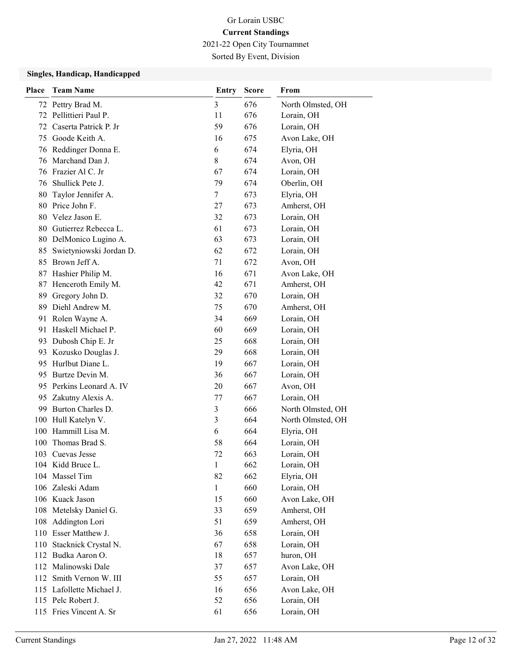2021-22 Open City Tournamnet

Sorted By Event, Division

| Place | <b>Team Name</b>                                | Entry          | <b>Score</b> | From                        |
|-------|-------------------------------------------------|----------------|--------------|-----------------------------|
|       | 72 Pettry Brad M.                               | $\mathfrak{Z}$ | 676          | North Olmsted, OH           |
| 72    | Pellittieri Paul P.                             | 11             | 676          | Lorain, OH                  |
| 72    | Caserta Patrick P. Jr                           | 59             | 676          | Lorain, OH                  |
| 75    | Goode Keith A.                                  | 16             | 675          | Avon Lake, OH               |
| 76    | Reddinger Donna E.                              | 6              | 674          | Elyria, OH                  |
| 76    | Marchand Dan J.                                 | 8              | 674          | Avon, OH                    |
|       | 76 Frazier Al C. Jr                             | 67             | 674          | Lorain, OH                  |
| 76    | Shullick Pete J.                                | 79             | 674          | Oberlin, OH                 |
| 80    | Taylor Jennifer A.                              | 7              | 673          | Elyria, OH                  |
| 80    | Price John F.                                   | 27             | 673          | Amherst, OH                 |
| 80    | Velez Jason E.                                  | 32             | 673          | Lorain, OH                  |
| 80    | Gutierrez Rebecca L.                            | 61             | 673          | Lorain, OH                  |
|       | 80 DelMonico Lugino A.                          | 63             | 673          | Lorain, OH                  |
| 85    | Swietyniowski Jordan D.                         | 62             | 672          | Lorain, OH                  |
| 85    | Brown Jeff A.                                   | 71             | 672          | Avon, OH                    |
| 87    | Hashier Philip M.                               | 16             | 671          | Avon Lake, OH               |
| 87    | Henceroth Emily M.                              | 42             | 671          | Amherst, OH                 |
| 89    | Gregory John D.                                 | 32             | 670          | Lorain, OH                  |
| 89    | Diehl Andrew M.                                 | 75             | 670          | Amherst, OH                 |
| 91    | Rolen Wayne A.                                  | 34             | 669          | Lorain, OH                  |
| 91    | Haskell Michael P.                              | 60             | 669          | Lorain, OH                  |
| 93    | Dubosh Chip E. Jr                               | 25             | 668          | Lorain, OH                  |
| 93    | Kozusko Douglas J.                              | 29             | 668          | Lorain, OH                  |
| 95    | Hurlbut Diane L.                                | 19             | 667          | Lorain, OH                  |
|       | 95 Burtze Devin M.                              | 36             | 667          | Lorain, OH                  |
| 95    | Perkins Leonard A. IV                           | 20             | 667          | Avon, OH                    |
| 95    | Zakutny Alexis A.                               | 77             | 667          | Lorain, OH                  |
| 99    | Burton Charles D.                               | $\mathfrak{Z}$ | 666          | North Olmsted, OH           |
| 100   | Hull Katelyn V.                                 | 3              | 664          | North Olmsted, OH           |
| 100   | Hammill Lisa M.                                 | 6              | 664          | Elyria, OH                  |
| 100   | Thomas Brad S.                                  | 58             | 664          | Lorain, OH                  |
|       | 103 Cuevas Jesse                                | 72             | 663          | Lorain, OH                  |
|       | 104 Kidd Bruce L.                               | $\mathbf{1}$   | 662          | Lorain, OH                  |
|       | 104 Massel Tim                                  | 82             | 662          | Elyria, OH                  |
|       | 106 Zaleski Adam                                | $\mathbf{1}$   | 660          | Lorain, OH                  |
|       | 106 Kuack Jason                                 | 15             | 660          | Avon Lake, OH               |
|       | 108 Metelsky Daniel G.                          | 33             | 659          | Amherst, OH                 |
| 108   | Addington Lori                                  | 51             | 659          | Amherst, OH                 |
|       | 110 Esser Matthew J.                            | 36             | 658          | Lorain, OH                  |
|       | 110 Stacknick Crystal N.                        | 67             | 658          | Lorain, OH                  |
|       | 112 Budka Aaron O.                              | 18             | 657          | huron, OH                   |
|       | 112 Malinowski Dale                             | 37             | 657          | Avon Lake, OH               |
| 112   | Smith Vernon W. III                             | 55             | 657          | Lorain, OH                  |
|       | 115 Lafollette Michael J.<br>115 Pelc Robert J. | 16             | 656          | Avon Lake, OH<br>Lorain, OH |
|       |                                                 | 52             | 656          |                             |
|       | 115 Fries Vincent A. Sr                         | 61             | 656          | Lorain, OH                  |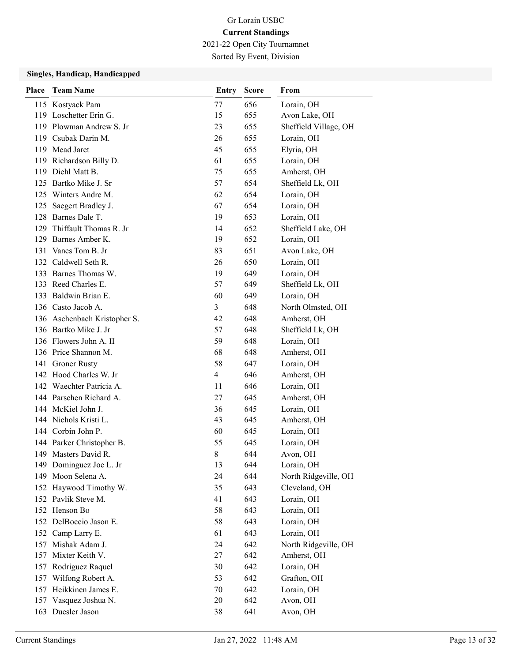2021-22 Open City Tournamnet

Sorted By Event, Division

| Place      | <b>Team Name</b>                            | Entry          | <b>Score</b> | From                                |
|------------|---------------------------------------------|----------------|--------------|-------------------------------------|
|            | 115 Kostyack Pam                            | 77             | 656          | Lorain, OH                          |
|            | 119 Loschetter Erin G.                      | 15             | 655          | Avon Lake, OH                       |
|            | 119 Plowman Andrew S. Jr                    | 23             | 655          | Sheffield Village, OH               |
|            | 119 Csubak Darin M.                         | 26             | 655          | Lorain, OH                          |
|            | 119 Mead Jaret                              | 45             | 655          | Elyria, OH                          |
|            | 119 Richardson Billy D.                     | 61             | 655          | Lorain, OH                          |
|            | 119 Diehl Matt B.                           | 75             | 655          | Amherst, OH                         |
|            | 125 Bartko Mike J. Sr                       | 57             | 654          | Sheffield Lk, OH                    |
|            | 125 Winters Andre M.                        | 62             | 654          | Lorain, OH                          |
| 125        | Saegert Bradley J.                          | 67             | 654          | Lorain, OH                          |
|            | 128 Barnes Dale T.                          | 19             | 653          | Lorain, OH                          |
|            | 129 Thiffault Thomas R. Jr                  | 14             | 652          | Sheffield Lake, OH                  |
|            | 129 Barnes Amber K.                         | 19             | 652          | Lorain, OH                          |
|            | 131 Vancs Tom B. Jr                         | 83             | 651          | Avon Lake, OH                       |
|            | 132 Caldwell Seth R.                        | 26             | 650          | Lorain, OH                          |
|            | 133 Barnes Thomas W.                        | 19             | 649          | Lorain, OH                          |
|            | 133 Reed Charles E.                         | 57             | 649          | Sheffield Lk, OH                    |
|            | 133 Baldwin Brian E.                        | 60             | 649          | Lorain, OH                          |
|            | 136 Casto Jacob A.                          | 3              | 648          | North Olmsted, OH                   |
|            | 136 Aschenbach Kristopher S.                | 42             | 648          | Amherst, OH                         |
|            | 136 Bartko Mike J. Jr                       | 57             | 648          | Sheffield Lk, OH                    |
|            | 136 Flowers John A. II                      | 59             | 648          | Lorain, OH                          |
|            | 136 Price Shannon M.                        | 68             | 648          | Amherst, OH                         |
|            | 141 Groner Rusty                            | 58             | 647          | Lorain, OH                          |
|            | 142 Hood Charles W. Jr                      | $\overline{4}$ | 646          | Amherst, OH                         |
|            | 142 Waechter Patricia A.                    | 11             | 646          | Lorain, OH                          |
|            | 144 Parschen Richard A.                     | 27             | 645          | Amherst, OH                         |
|            | 144 McKiel John J.                          | 36             | 645          | Lorain, OH                          |
|            | 144 Nichols Kristi L.                       | 43             | 645          | Amherst, OH                         |
|            | 144 Corbin John P.                          | 60             | 645          | Lorain, OH                          |
|            | 144 Parker Christopher B.                   | 55             | 645          | Lorain, OH                          |
|            | 149 Masters David R.                        | 8              | 644          | Avon, OH                            |
|            | 149 Dominguez Joe L. Jr                     | 13             | 644          | Lorain, OH                          |
| 149        | Moon Selena A.                              | 24             | 644          | North Ridgeville, OH                |
|            | 152 Haywood Timothy W.                      | 35             | 643          | Cleveland, OH                       |
|            | 152 Pavlik Steve M.                         | 41             | 643          | Lorain, OH                          |
|            | 152 Henson Bo                               | 58             | 643          | Lorain, OH                          |
|            | 152 DelBoccio Jason E.                      | 58             | 643          | Lorain, OH                          |
| 152        | Camp Larry E.<br>Mishak Adam J.             | 61             | 643          | Lorain, OH                          |
| 157<br>157 | Mixter Keith V.                             | 24<br>27       | 642<br>642   | North Ridgeville, OH<br>Amherst, OH |
|            |                                             |                | 642          |                                     |
| 157        | Rodriguez Raquel                            | 30<br>53       | 642          | Lorain, OH                          |
| 157        | Wilfong Robert A.<br>157 Heikkinen James E. |                | 642          | Grafton, OH<br>Lorain, OH           |
|            | 157 Vasquez Joshua N.                       | 70<br>20       | 642          | Avon, OH                            |
|            | 163 Duesler Jason                           | 38             | 641          | Avon, OH                            |
|            |                                             |                |              |                                     |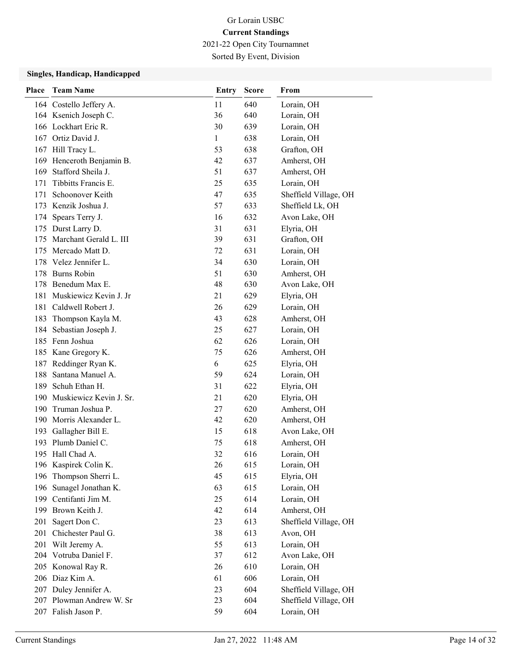2021-22 Open City Tournamnet

Sorted By Event, Division

| Place | <b>Team Name</b>                             | Entry    | <b>Score</b> | From                      |
|-------|----------------------------------------------|----------|--------------|---------------------------|
|       | 164 Costello Jeffery A.                      | 11       | 640          | Lorain, OH                |
|       | 164 Ksenich Joseph C.                        | 36       | 640          | Lorain, OH                |
|       | 166 Lockhart Eric R.                         | 30       | 639          | Lorain, OH                |
|       | 167 Ortiz David J.                           | 1        | 638          | Lorain, OH                |
|       | 167 Hill Tracy L.                            | 53       | 638          | Grafton, OH               |
|       | 169 Henceroth Benjamin B.                    | 42       | 637          | Amherst, OH               |
| 169   | Stafford Sheila J.                           | 51       | 637          | Amherst, OH               |
| 171   | Tibbitts Francis E.                          | 25       | 635          | Lorain, OH                |
| 171   | Schoonover Keith                             | 47       | 635          | Sheffield Village, OH     |
|       | 173 Kenzik Joshua J.                         | 57       | 633          | Sheffield Lk, OH          |
| 174   | Spears Terry J.                              | 16       | 632          | Avon Lake, OH             |
|       | 175 Durst Larry D.                           | 31       | 631          | Elyria, OH                |
| 175   | Marchant Gerald L. III                       | 39       | 631          | Grafton, OH               |
|       | 175 Mercado Matt D.                          | 72       | 631          | Lorain, OH                |
|       | 178 Velez Jennifer L.                        | 34       | 630          | Lorain, OH                |
|       | 178 Burns Robin                              | 51       | 630          | Amherst, OH               |
|       | 178 Benedum Max E.                           | 48       | 630          | Avon Lake, OH             |
|       | 181 Muskiewicz Kevin J. Jr                   | 21       | 629          | Elyria, OH                |
|       | 181 Caldwell Robert J.                       | 26       | 629          | Lorain, OH                |
| 183   | Thompson Kayla M.                            | 43       | 628          | Amherst, OH               |
| 184   | Sebastian Joseph J.                          | 25       | 627          | Lorain, OH                |
|       | 185 Fenn Joshua                              | 62       | 626          | Lorain, OH                |
|       | 185 Kane Gregory K.                          | 75       | 626          | Amherst, OH               |
|       | 187 Reddinger Ryan K.                        | 6        | 625          | Elyria, OH                |
| 188   | Santana Manuel A.                            | 59       | 624          | Lorain, OH                |
| 189   | Schuh Ethan H.                               | 31       | 622          | Elyria, OH                |
| 190   | Muskiewicz Kevin J. Sr.                      | 21       | 620          | Elyria, OH                |
| 190   | Truman Joshua P.                             | 27       | 620          | Amherst, OH               |
|       | 190 Morris Alexander L.                      | 42       | 620          | Amherst, OH               |
| 193   | Gallagher Bill E.                            | 15       | 618          | Avon Lake, OH             |
|       | 193 Plumb Daniel C.                          | 75       | 618          | Amherst, OH               |
|       | 195 Hall Chad A.                             | 32       | 616          | Lorain, OH                |
|       | 196 Kaspirek Colin K.                        | 26       | 615          | Lorain, OH                |
| 196   | Thompson Sherri L.                           | 45       | 615          | Elyria, OH                |
| 196   | Sunagel Jonathan K.<br>199 Centifanti Jim M. | 63       | 615          | Lorain, OH                |
|       | 199 Brown Keith J.                           | 25<br>42 | 614<br>614   | Lorain, OH<br>Amherst, OH |
| 201   | Sagert Don C.                                | 23       | 613          | Sheffield Village, OH     |
| 201   | Chichester Paul G.                           | 38       | 613          | Avon, OH                  |
| 201   | Wilt Jeremy A.                               | 55       | 613          | Lorain, OH                |
|       | 204 Votruba Daniel F.                        | 37       | 612          | Avon Lake, OH             |
|       | 205 Konowal Ray R.                           | 26       | 610          | Lorain, OH                |
|       | 206 Diaz Kim A.                              | 61       | 606          | Lorain, OH                |
|       | 207 Duley Jennifer A.                        | 23       | 604          | Sheffield Village, OH     |
|       | 207 Plowman Andrew W. Sr                     | 23       | 604          | Sheffield Village, OH     |
|       | 207 Falish Jason P.                          | 59       | 604          | Lorain, OH                |
|       |                                              |          |              |                           |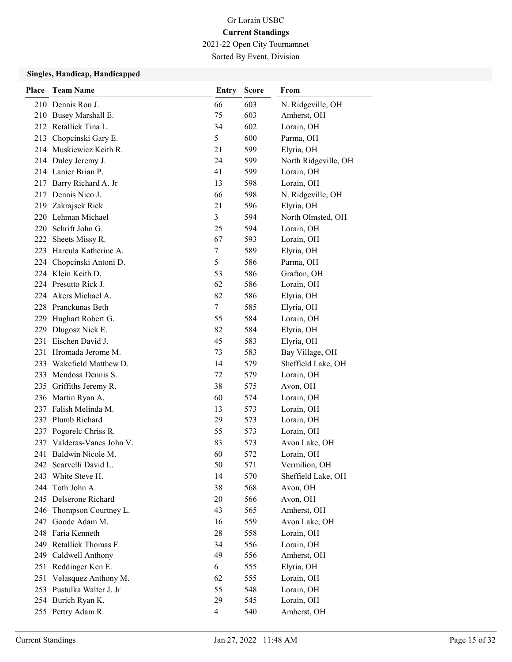2021-22 Open City Tournamnet

Sorted By Event, Division

| Place | <b>Team Name</b>           | <b>Entry</b> | <b>Score</b> | From                 |
|-------|----------------------------|--------------|--------------|----------------------|
|       | 210 Dennis Ron J.          | 66           | 603          | N. Ridgeville, OH    |
|       | 210 Busey Marshall E.      | 75           | 603          | Amherst, OH          |
|       | 212 Retallick Tina L.      | 34           | 602          | Lorain, OH           |
|       | 213 Chopcinski Gary E.     | 5            | 600          | Parma, OH            |
| 214   | Muskiewicz Keith R.        | 21           | 599          | Elyria, OH           |
| 214   | Duley Jeremy J.            | 24           | 599          | North Ridgeville, OH |
|       | 214 Lanier Brian P.        | 41           | 599          | Lorain, OH           |
|       | 217 Barry Richard A. Jr    | 13           | 598          | Lorain, OH           |
|       | 217 Dennis Nico J.         | 66           | 598          | N. Ridgeville, OH    |
| 219   | Zakrajsek Rick             | 21           | 596          | Elyria, OH           |
|       | 220 Lehman Michael         | 3            | 594          | North Olmsted, OH    |
|       | 220 Schrift John G.        | 25           | 594          | Lorain, OH           |
|       | 222 Sheets Missy R.        | 67           | 593          | Lorain, OH           |
| 223   | Harcula Katherine A.       | 7            | 589          | Elyria, OH           |
|       | 224 Chopcinski Antoni D.   | 5            | 586          | Parma, OH            |
|       | 224 Klein Keith D.         | 53           | 586          | Grafton, OH          |
|       | 224 Presutto Rick J.       | 62           | 586          | Lorain, OH           |
| 224   | Akers Michael A.           | 82           | 586          | Elyria, OH           |
|       | 228 Pranckunas Beth        | $\tau$       | 585          | Elyria, OH           |
|       | 229 Hughart Robert G.      | 55           | 584          | Lorain, OH           |
| 229   | Dlugosz Nick E.            | 82           | 584          | Elyria, OH           |
| 231   | Eischen David J.           | 45           | 583          | Elyria, OH           |
|       | 231 Hromada Jerome M.      | 73           | 583          | Bay Village, OH      |
|       | 233 Wakefield Matthew D.   | 14           | 579          | Sheffield Lake, OH   |
|       | 233 Mendosa Dennis S.      | 72           | 579          | Lorain, OH           |
|       | 235 Griffiths Jeremy R.    | 38           | 575          | Avon, OH             |
|       | 236 Martin Ryan A.         | 60           | 574          | Lorain, OH           |
|       | 237 Falish Melinda M.      | 13           | 573          | Lorain, OH           |
| 237   | Plumb Richard              | 29           | 573          | Lorain, OH           |
| 237   | Pogorelc Chriss R.         | 55           | 573          | Lorain, OH           |
|       | 237 Valderas-Vancs John V. | 83           | 573          | Avon Lake, OH        |
|       | 241 Baldwin Nicole M.      | 60           | 572          | Lorain, OH           |
|       | 242 Scarvelli David L.     | 50           | 571          | Vermilion, OH        |
| 243   | White Steve H.             | 14           | 570          | Sheffield Lake, OH   |
| 244   | Toth John A.               | 38           | 568          | Avon, OH             |
|       | 245 Delserone Richard      | 20           | 566          | Avon, OH             |
| 246   | Thompson Courtney L.       | 43           | 565          | Amherst, OH          |
| 247   | Goode Adam M.              | 16           | 559          | Avon Lake, OH        |
|       | 248 Faria Kenneth          | 28           | 558          | Lorain, OH           |
|       | 249 Retallick Thomas F.    | 34           | 556          | Lorain, OH           |
|       | 249 Caldwell Anthony       | 49           | 556          | Amherst, OH          |
| 251   | Reddinger Ken E.           | 6            | 555          | Elyria, OH           |
| 251   | Velasquez Anthony M.       | 62           | 555          | Lorain, OH           |
|       | 253 Pustulka Walter J. Jr  | 55           | 548          | Lorain, OH           |
|       | 254 Burich Ryan K.         | 29           | 545          | Lorain, OH           |
|       | 255 Pettry Adam R.         | 4            | 540          | Amherst, OH          |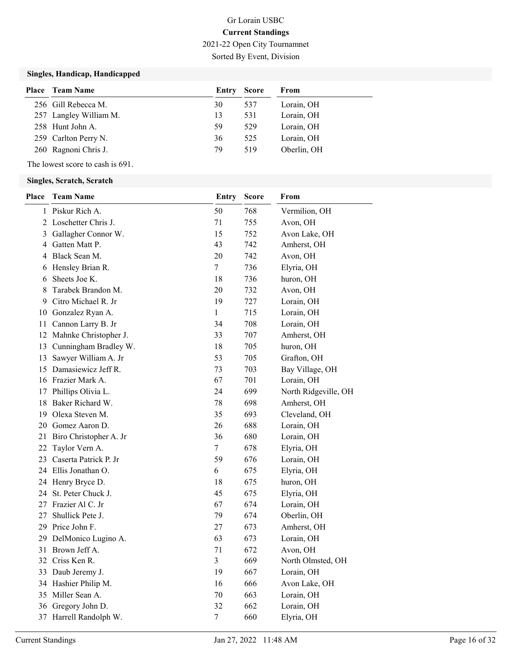Sorted By Event, Division

### Singles, Handicap, Handicapped

| <b>Place</b> Team Name | Entry Score |     | From        |
|------------------------|-------------|-----|-------------|
| 256 Gill Rebecca M.    | 30          | 537 | Lorain, OH  |
| 257 Langley William M. | 13          | 531 | Lorain, OH  |
| 258 Hunt John A.       | 59          | 529 | Lorain, OH  |
| 259 Carlton Perry N.   | 36          | 525 | Lorain, OH  |
| 260 Ragnoni Chris J.   | 79          | 519 | Oberlin, OH |

The lowest score to cash is 691.

| <b>Place</b> | <b>Team Name</b>          | Entry        | <b>Score</b> | From                 |
|--------------|---------------------------|--------------|--------------|----------------------|
| 1            | Piskur Rich A.            | 50           | 768          | Vermilion, OH        |
|              | 2 Loschetter Chris J.     | 71           | 755          | Avon, OH             |
| 3            | Gallagher Connor W.       | 15           | 752          | Avon Lake, OH        |
| 4            | Gatten Matt P.            | 43           | 742          | Amherst, OH          |
| 4            | Black Sean M.             | 20           | 742          | Avon, OH             |
| 6            | Hensley Brian R.          | 7            | 736          | Elyria, OH           |
| 6            | Sheets Joe K.             | 18           | 736          | huron, OH            |
| 8            | Tarabek Brandon M.        | 20           | 732          | Avon, OH             |
| 9            | Citro Michael R. Jr       | 19           | 727          | Lorain, OH           |
| 10           | Gonzalez Ryan A.          | $\mathbf{1}$ | 715          | Lorain, OH           |
| 11           | Cannon Larry B. Jr        | 34           | 708          | Lorain, OH           |
|              | 12 Mahnke Christopher J.  | 33           | 707          | Amherst, OH          |
|              | 13 Cunningham Bradley W.  | 18           | 705          | huron, OH            |
| 13           | Sawyer William A. Jr      | 53           | 705          | Grafton, OH          |
| 15           | Damasiewicz Jeff R.       | 73           | 703          | Bay Village, OH      |
|              | 16 Frazier Mark A.        | 67           | 701          | Lorain, OH           |
| 17           | Phillips Olivia L.        | 24           | 699          | North Ridgeville, OH |
| 18           | Baker Richard W.          | 78           | 698          | Amherst, OH          |
| 19           | Olexa Steven M.           | 35           | 693          | Cleveland, OH        |
|              | 20 Gomez Aaron D.         | 26           | 688          | Lorain, OH           |
|              | 21 Biro Christopher A. Jr | 36           | 680          | Lorain, OH           |
| 22           | Taylor Vern A.            | $\tau$       | 678          | Elyria, OH           |
|              | 23 Caserta Patrick P. Jr  | 59           | 676          | Lorain, OH           |
|              | 24 Ellis Jonathan O.      | 6            | 675          | Elyria, OH           |
|              | 24 Henry Bryce D.         | 18           | 675          | huron, OH            |
|              | 24 St. Peter Chuck J.     | 45           | 675          | Elyria, OH           |
| 27           | Frazier Al C. Jr          | 67           | 674          | Lorain, OH           |
| 27           | Shullick Pete J.          | 79           | 674          | Oberlin, OH          |
|              | 29 Price John F.          | $27\,$       | 673          | Amherst, OH          |
| 29           | DelMonico Lugino A.       | 63           | 673          | Lorain, OH           |
| 31           | Brown Jeff A.             | 71           | 672          | Avon, OH             |
|              | 32 Criss Ken R.           | 3            | 669          | North Olmsted, OH    |
|              | 33 Daub Jeremy J.         | 19           | 667          | Lorain, OH           |
|              | 34 Hashier Philip M.      | 16           | 666          | Avon Lake, OH        |
| 35           | Miller Sean A.            | 70           | 663          | Lorain, OH           |
|              | 36 Gregory John D.        | 32           | 662          | Lorain, OH           |
|              | 37 Harrell Randolph W.    | 7            | 660          | Elyria, OH           |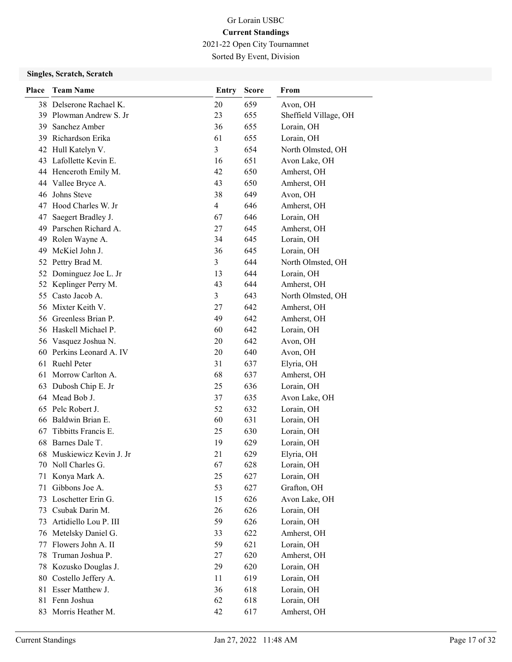2021-22 Open City Tournamnet Sorted By Event, Division

| Place | <b>Team Name</b>          | Entry          | <b>Score</b> | From                  |
|-------|---------------------------|----------------|--------------|-----------------------|
|       | 38 Delserone Rachael K.   | 20             | 659          | Avon, OH              |
| 39    | Plowman Andrew S. Jr      | 23             | 655          | Sheffield Village, OH |
| 39    | Sanchez Amber             | 36             | 655          | Lorain, OH            |
| 39    | Richardson Erika          | 61             | 655          | Lorain, OH            |
|       | 42 Hull Katelyn V.        | 3              | 654          | North Olmsted, OH     |
| 43    | Lafollette Kevin E.       | 16             | 651          | Avon Lake, OH         |
|       | 44 Henceroth Emily M.     | 42             | 650          | Amherst, OH           |
|       | 44 Vallee Bryce A.        | 43             | 650          | Amherst, OH           |
| 46    | Johns Steve               | 38             | 649          | Avon, OH              |
| 47    | Hood Charles W. Jr        | $\overline{4}$ | 646          | Amherst, OH           |
| 47    | Saegert Bradley J.        | 67             | 646          | Lorain, OH            |
|       | 49 Parschen Richard A.    | 27             | 645          | Amherst, OH           |
| 49    | Rolen Wayne A.            | 34             | 645          | Lorain, OH            |
| 49    | McKiel John J.            | 36             | 645          | Lorain, OH            |
| 52    | Pettry Brad M.            | 3              | 644          | North Olmsted, OH     |
| 52    | Dominguez Joe L. Jr       | 13             | 644          | Lorain, OH            |
| 52    | Keplinger Perry M.        | 43             | 644          | Amherst, OH           |
| 55    | Casto Jacob A.            | 3              | 643          | North Olmsted, OH     |
|       | 56 Mixter Keith V.        | 27             | 642          | Amherst, OH           |
|       | 56 Greenless Brian P.     | 49             | 642          | Amherst, OH           |
|       | 56 Haskell Michael P.     | 60             | 642          | Lorain, OH            |
|       | 56 Vasquez Joshua N.      | 20             | 642          | Avon, OH              |
|       | 60 Perkins Leonard A. IV  | 20             | 640          | Avon, OH              |
|       | 61 Ruehl Peter            | 31             | 637          | Elyria, OH            |
| 61    | Morrow Carlton A.         | 68             | 637          | Amherst, OH           |
| 63    | Dubosh Chip E. Jr         | 25             | 636          | Lorain, OH            |
|       | 64 Mead Bob J.            | 37             | 635          | Avon Lake, OH         |
| 65    | Pelc Robert J.            | 52             | 632          | Lorain, OH            |
|       | 66 Baldwin Brian E.       | 60             | 631          | Lorain, OH            |
| 67    | Tibbitts Francis E.       | 25             | 630          | Lorain, OH            |
| 68    | Barnes Dale T.            | 19             | 629          | Lorain, OH            |
|       | 68 Muskiewicz Kevin J. Jr | 21             | 629          | Elyria, OH            |
| 70    | Noll Charles G.           | 67             | 628          | Lorain, OH            |
| 71    | Konya Mark A.             | 25             | 627          | Lorain, OH            |
| 71    | Gibbons Joe A.            | 53             | 627          | Grafton, OH           |
| 73    | Loschetter Erin G.        | 15             | 626          | Avon Lake, OH         |
| 73    | Csubak Darin M.           | 26             | 626          | Lorain, OH            |
| 73    | Artidiello Lou P. III     | 59             | 626          | Lorain, OH            |
| 76    | Metelsky Daniel G.        | 33             | 622          | Amherst, OH           |
| 77    | Flowers John A. II        | 59             | 621          | Lorain, OH            |
| 78    | Truman Joshua P.          | 27             | 620          | Amherst, OH           |
| 78    | Kozusko Douglas J.        | 29             | 620          | Lorain, OH            |
| 80    | Costello Jeffery A.       | 11             | 619          | Lorain, OH            |
| 81    | Esser Matthew J.          | 36             | 618          | Lorain, OH            |
|       | 81 Fenn Joshua            | 62             | 618          | Lorain, OH            |
|       | 83 Morris Heather M.      | 42             | 617          | Amherst, OH           |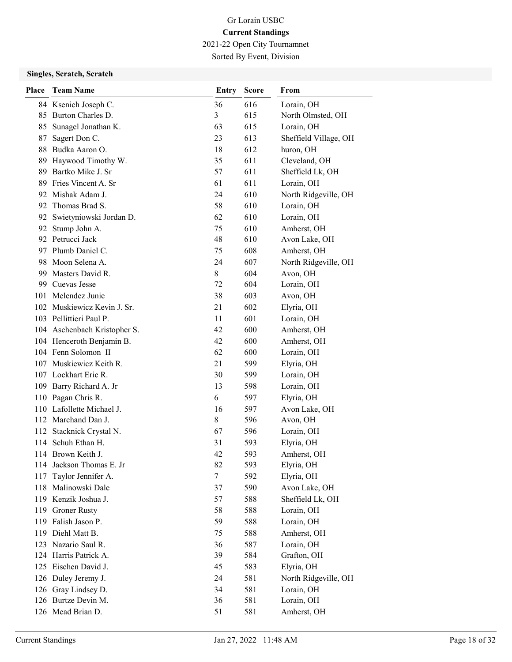2021-22 Open City Tournamnet

Sorted By Event, Division

| <b>Place</b> | <b>Team Name</b>             | <b>Entry</b> | <b>Score</b> | From                  |
|--------------|------------------------------|--------------|--------------|-----------------------|
|              | 84 Ksenich Joseph C.         | 36           | 616          | Lorain, OH            |
| 85           | Burton Charles D.            | 3            | 615          | North Olmsted, OH     |
| 85           | Sunagel Jonathan K.          | 63           | 615          | Lorain, OH            |
| 87           | Sagert Don C.                | 23           | 613          | Sheffield Village, OH |
|              | 88 Budka Aaron O.            | 18           | 612          | huron, OH             |
| 89           | Haywood Timothy W.           | 35           | 611          | Cleveland, OH         |
| 89           | Bartko Mike J. Sr            | 57           | 611          | Sheffield Lk, OH      |
|              | 89 Fries Vincent A. Sr       | 61           | 611          | Lorain, OH            |
|              | 92 Mishak Adam J.            | 24           | 610          | North Ridgeville, OH  |
| 92           | Thomas Brad S.               | 58           | 610          | Lorain, OH            |
|              | 92 Swietyniowski Jordan D.   | 62           | 610          | Lorain, OH            |
|              | 92 Stump John A.             | 75           | 610          | Amherst, OH           |
|              | 92 Petrucci Jack             | 48           | 610          | Avon Lake, OH         |
|              | 97 Plumb Daniel C.           | 75           | 608          | Amherst, OH           |
|              | 98 Moon Selena A.            | 24           | 607          | North Ridgeville, OH  |
|              | 99 Masters David R.          | 8            | 604          | Avon, OH              |
|              | 99 Cuevas Jesse              | 72           | 604          | Lorain, OH            |
|              | 101 Melendez Junie           | 38           | 603          | Avon, OH              |
|              | 102 Muskiewicz Kevin J. Sr.  | 21           | 602          | Elyria, OH            |
|              | 103 Pellittieri Paul P.      | 11           | 601          | Lorain, OH            |
|              | 104 Aschenbach Kristopher S. | 42           | 600          | Amherst, OH           |
|              | 104 Henceroth Benjamin B.    | 42           | 600          | Amherst, OH           |
|              | 104 Fenn Solomon II          | 62           | 600          | Lorain, OH            |
|              | 107 Muskiewicz Keith R.      | 21           | 599          | Elyria, OH            |
|              | 107 Lockhart Eric R.         | 30           | 599          | Lorain, OH            |
|              | 109 Barry Richard A. Jr      | 13           | 598          | Lorain, OH            |
|              | 110 Pagan Chris R.           | 6            | 597          | Elyria, OH            |
|              | 110 Lafollette Michael J.    | 16           | 597          | Avon Lake, OH         |
|              | 112 Marchand Dan J.          | 8            | 596          | Avon, OH              |
|              | 112 Stacknick Crystal N.     | 67           | 596          | Lorain, OH            |
|              | 114 Schuh Ethan H.           | 31           | 593          | Elyria, OH            |
|              | 114 Brown Keith J.           | 42           | 593          | Amherst, OH           |
|              | 114 Jackson Thomas E. Jr     | 82           | 593          | Elyria, OH            |
| 117          | Taylor Jennifer A.           | 7            | 592          | Elyria, OH            |
|              | 118 Malinowski Dale          | 37           | 590          | Avon Lake, OH         |
|              | 119 Kenzik Joshua J.         | 57           | 588          | Sheffield Lk, OH      |
|              | 119 Groner Rusty             | 58           | 588          | Lorain, OH            |
|              | 119 Falish Jason P.          | 59           | 588          | Lorain, OH            |
|              | 119 Diehl Matt B.            | 75           | 588          | Amherst, OH           |
|              | 123 Nazario Saul R.          | 36           | 587          | Lorain, OH            |
|              | 124 Harris Patrick A.        | 39           | 584          | Grafton, OH           |
|              | 125 Eischen David J.         | 45           | 583          | Elyria, OH            |
|              | 126 Duley Jeremy J.          | 24           | 581          | North Ridgeville, OH  |
|              | 126 Gray Lindsey D.          | 34           | 581          | Lorain, OH            |
|              | 126 Burtze Devin M.          | 36           | 581          | Lorain, OH            |
|              | 126 Mead Brian D.            | 51           | 581          | Amherst, OH           |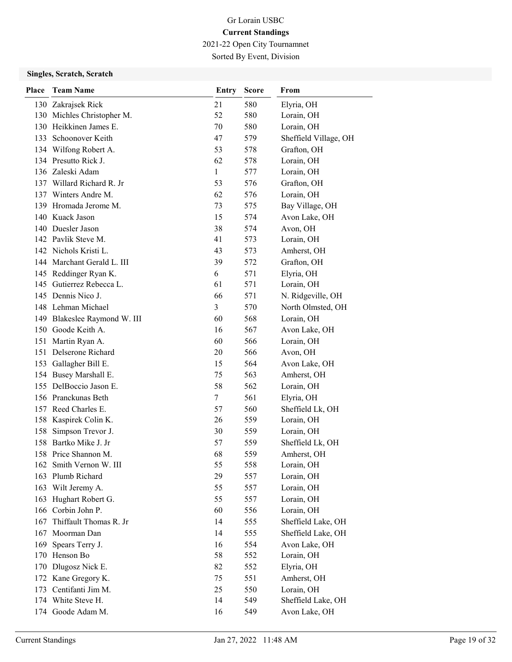2021-22 Open City Tournamnet Sorted By Event, Division

| <b>Place</b> | <b>Team Name</b>                                | Entry        | <b>Score</b> | From                     |
|--------------|-------------------------------------------------|--------------|--------------|--------------------------|
|              | 130 Zakrajsek Rick                              | 21           | 580          | Elyria, OH               |
|              | 130 Michles Christopher M.                      | 52           | 580          | Lorain, OH               |
|              | 130 Heikkinen James E.                          | 70           | 580          | Lorain, OH               |
|              | 133 Schoonover Keith                            | 47           | 579          | Sheffield Village, OH    |
|              | 134 Wilfong Robert A.                           | 53           | 578          | Grafton, OH              |
|              | 134 Presutto Rick J.                            | 62           | 578          | Lorain, OH               |
|              | 136 Zaleski Adam                                | $\mathbf{1}$ | 577          | Lorain, OH               |
|              | 137 Willard Richard R. Jr                       | 53           | 576          | Grafton, OH              |
|              | 137 Winters Andre M.                            | 62           | 576          | Lorain, OH               |
|              | 139 Hromada Jerome M.                           | 73           | 575          | Bay Village, OH          |
|              | 140 Kuack Jason                                 | 15           | 574          | Avon Lake, OH            |
|              | 140 Duesler Jason                               | 38           | 574          | Avon, OH                 |
|              | 142 Pavlik Steve M.                             | 41           | 573          | Lorain, OH               |
|              | 142 Nichols Kristi L.                           | 43           | 573          | Amherst, OH              |
|              | 144 Marchant Gerald L. III                      | 39           | 572          | Grafton, OH              |
|              | 145 Reddinger Ryan K.                           | 6            | 571          | Elyria, OH               |
|              | 145 Gutierrez Rebecca L.                        | 61           | 571          | Lorain, OH               |
|              | 145 Dennis Nico J.                              | 66           | 571          | N. Ridgeville, OH        |
|              | 148 Lehman Michael                              | 3            | 570          | North Olmsted, OH        |
|              | 149 Blakeslee Raymond W. III                    | 60           | 568          | Lorain, OH               |
|              | 150 Goode Keith A.                              | 16           | 567          | Avon Lake, OH            |
|              | 151 Martin Ryan A.                              | 60           | 566          | Lorain, OH               |
|              | 151 Delserone Richard                           | 20           | 566          | Avon, OH                 |
|              | 153 Gallagher Bill E.                           | 15<br>75     | 564<br>563   | Avon Lake, OH            |
|              | 154 Busey Marshall E.<br>155 DelBoccio Jason E. | 58           | 562          | Amherst, OH              |
|              | 156 Pranckunas Beth                             | $\tau$       | 561          | Lorain, OH<br>Elyria, OH |
|              | 157 Reed Charles E.                             | 57           | 560          | Sheffield Lk, OH         |
|              | 158 Kaspirek Colin K.                           | 26           | 559          | Lorain, OH               |
| 158          | Simpson Trevor J.                               | 30           | 559          | Lorain, OH               |
|              | 158 Bartko Mike J. Jr                           | 57           | 559          | Sheffield Lk, OH         |
|              | 158 Price Shannon M.                            | 68           | 559          | Amherst, OH              |
|              | 162 Smith Vernon W. III                         | 55           | 558          | Lorain, OH               |
|              | 163 Plumb Richard                               | 29           | 557          | Lorain, OH               |
| 163          | Wilt Jeremy A.                                  | 55           | 557          | Lorain, OH               |
|              | 163 Hughart Robert G.                           | 55           | 557          | Lorain, OH               |
|              | 166 Corbin John P.                              | 60           | 556          | Lorain, OH               |
| 167          | Thiffault Thomas R. Jr                          | 14           | 555          | Sheffield Lake, OH       |
|              | 167 Moorman Dan                                 | 14           | 555          | Sheffield Lake, OH       |
| 169          | Spears Terry J.                                 | 16           | 554          | Avon Lake, OH            |
| 170          | Henson Bo                                       | 58           | 552          | Lorain, OH               |
| 170          | Dlugosz Nick E.                                 | 82           | 552          | Elyria, OH               |
|              | 172 Kane Gregory K.                             | 75           | 551          | Amherst, OH              |
|              | 173 Centifanti Jim M.                           | 25           | 550          | Lorain, OH               |
|              | 174 White Steve H.                              | 14           | 549          | Sheffield Lake, OH       |
|              | 174 Goode Adam M.                               | 16           | 549          | Avon Lake, OH            |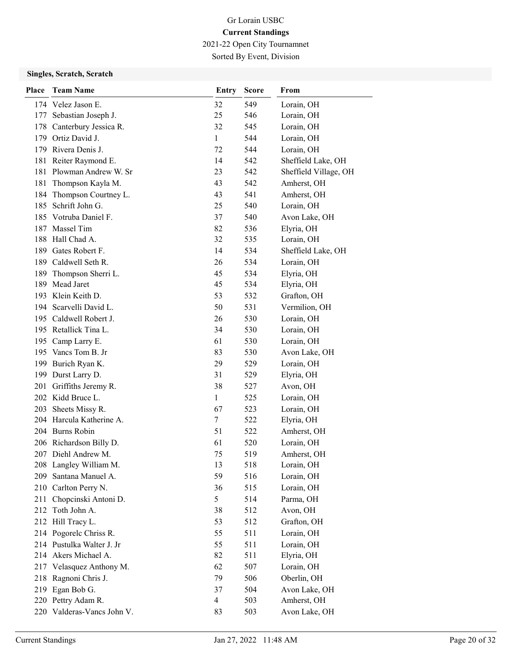2021-22 Open City Tournamnet Sorted By Event, Division

| Place | <b>Team Name</b>           | <b>Entry</b>             | <b>Score</b> | From                  |
|-------|----------------------------|--------------------------|--------------|-----------------------|
|       | 174 Velez Jason E.         | 32                       | 549          | Lorain, OH            |
|       | 177 Sebastian Joseph J.    | 25                       | 546          | Lorain, OH            |
|       | 178 Canterbury Jessica R.  | 32                       | 545          | Lorain, OH            |
|       | 179 Ortiz David J.         | $\mathbf{1}$             | 544          | Lorain, OH            |
|       | 179 Rivera Denis J.        | 72                       | 544          | Lorain, OH            |
|       | 181 Reiter Raymond E.      | 14                       | 542          | Sheffield Lake, OH    |
|       | 181 Plowman Andrew W. Sr   | 23                       | 542          | Sheffield Village, OH |
| 181   | Thompson Kayla M.          | 43                       | 542          | Amherst, OH           |
| 184   | Thompson Courtney L.       | 43                       | 541          | Amherst, OH           |
| 185   | Schrift John G.            | 25                       | 540          | Lorain, OH            |
|       | 185 Votruba Daniel F.      | 37                       | 540          | Avon Lake, OH         |
| 187   | Massel Tim                 | 82                       | 536          | Elyria, OH            |
|       | 188 Hall Chad A.           | 32                       | 535          | Lorain, OH            |
|       | 189 Gates Robert F.        | 14                       | 534          | Sheffield Lake, OH    |
|       | 189 Caldwell Seth R.       | 26                       | 534          | Lorain, OH            |
| 189   | Thompson Sherri L.         | 45                       | 534          | Elyria, OH            |
| 189   | Mead Jaret                 | 45                       | 534          | Elyria, OH            |
|       | 193 Klein Keith D.         | 53                       | 532          | Grafton, OH           |
|       | 194 Scarvelli David L.     | 50                       | 531          | Vermilion, OH         |
|       | 195 Caldwell Robert J.     | 26                       | 530          | Lorain, OH            |
|       | 195 Retallick Tina L.      | 34                       | 530          | Lorain, OH            |
|       | 195 Camp Larry E.          | 61                       | 530          | Lorain, OH            |
|       | 195 Vancs Tom B. Jr        | 83                       | 530          | Avon Lake, OH         |
|       | 199 Burich Ryan K.         | 29                       | 529          | Lorain, OH            |
|       | 199 Durst Larry D.         | 31                       | 529          | Elyria, OH            |
| 201   | Griffiths Jeremy R.        | 38                       | 527          | Avon, OH              |
|       | 202 Kidd Bruce L.          | $\mathbf{1}$             | 525          | Lorain, OH            |
| 203   | Sheets Missy R.            | 67                       | 523          | Lorain, OH            |
|       | 204 Harcula Katherine A.   | 7                        | 522          | Elyria, OH            |
|       | 204 Burns Robin            | 51                       | 522          | Amherst, OH           |
|       | 206 Richardson Billy D.    | 61                       | 520          | Lorain, OH            |
|       | 207 Diehl Andrew M.        | 75                       | 519          | Amherst, OH           |
|       | 208 Langley William M.     | 13                       | 518          | Lorain, OH            |
| 209   | Santana Manuel A.          | 59                       | 516          | Lorain, OH            |
|       | 210 Carlton Perry N.       | 36                       | 515          | Lorain, OH            |
|       | 211 Chopcinski Antoni D.   | 5                        | 514          | Parma, OH             |
|       | 212 Toth John A.           | 38                       | 512          | Avon, OH              |
|       | 212 Hill Tracy L.          | 53                       | 512          | Grafton, OH           |
|       | 214 Pogorelc Chriss R.     | 55                       | 511          | Lorain, OH            |
|       | 214 Pustulka Walter J. Jr  | 55                       | 511          | Lorain, OH            |
|       | 214 Akers Michael A.       | 82                       | 511          | Elyria, OH            |
|       | 217 Velasquez Anthony M.   | 62                       | 507          | Lorain, OH            |
| 218   | Ragnoni Chris J.           | 79                       | 506          | Oberlin, OH           |
|       | 219 Egan Bob G.            | 37                       | 504          | Avon Lake, OH         |
|       | 220 Pettry Adam R.         | $\overline{\mathcal{A}}$ | 503          | Amherst, OH           |
|       | 220 Valderas-Vancs John V. | 83                       | 503          | Avon Lake, OH         |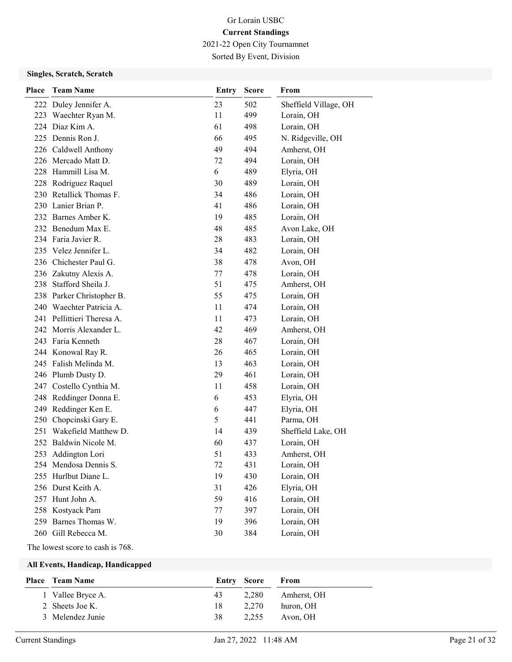2021-22 Open City Tournamnet Sorted By Event, Division

### Singles, Scratch, Scratch

| Place | <b>Team Name</b>           | <b>Entry</b> | <b>Score</b> | From                  |
|-------|----------------------------|--------------|--------------|-----------------------|
|       | 222 Duley Jennifer A.      | 23           | 502          | Sheffield Village, OH |
|       | 223 Waechter Ryan M.       | 11           | 499          | Lorain, OH            |
|       | 224 Diaz Kim A.            | 61           | 498          | Lorain, OH            |
|       | 225 Dennis Ron J.          | 66           | 495          | N. Ridgeville, OH     |
|       | 226 Caldwell Anthony       | 49           | 494          | Amherst, OH           |
|       | 226 Mercado Matt D.        | 72           | 494          | Lorain, OH            |
|       | 228 Hammill Lisa M.        | 6            | 489          | Elyria, OH            |
|       | 228 Rodriguez Raquel       | 30           | 489          | Lorain, OH            |
|       | 230 Retallick Thomas F.    | 34           | 486          | Lorain, OH            |
|       | 230 Lanier Brian P.        | 41           | 486          | Lorain, OH            |
|       | 232 Barnes Amber K.        | 19           | 485          | Lorain, OH            |
|       | 232 Benedum Max E.         | 48           | 485          | Avon Lake, OH         |
|       | 234 Faria Javier R.        | 28           | 483          | Lorain, OH            |
|       | 235 Velez Jennifer L.      | 34           | 482          | Lorain, OH            |
|       | 236 Chichester Paul G.     | 38           | 478          | Avon, OH              |
|       | 236 Zakutny Alexis A.      | 77           | 478          | Lorain, OH            |
|       | 238 Stafford Sheila J.     | 51           | 475          | Amherst, OH           |
|       | 238 Parker Christopher B.  | 55           | 475          | Lorain, OH            |
|       | 240 Waechter Patricia A.   | 11           | 474          | Lorain, OH            |
|       | 241 Pellittieri Theresa A. | 11           | 473          | Lorain, OH            |
|       | 242 Morris Alexander L.    | 42           | 469          | Amherst, OH           |
|       | 243 Faria Kenneth          | 28           | 467          | Lorain, OH            |
|       | 244 Konowal Ray R.         | 26           | 465          | Lorain, OH            |
|       | 245 Falish Melinda M.      | 13           | 463          | Lorain, OH            |
|       | 246 Plumb Dusty D.         | 29           | 461          | Lorain, OH            |
| 247   | Costello Cynthia M.        | 11           | 458          | Lorain, OH            |
| 248   | Reddinger Donna E.         | 6            | 453          | Elyria, OH            |
| 249   | Reddinger Ken E.           | 6            | 447          | Elyria, OH            |
| 250   | Chopcinski Gary E.         | 5            | 441          | Parma, OH             |
|       | 251 Wakefield Matthew D.   | 14           | 439          | Sheffield Lake, OH    |
|       | 252 Baldwin Nicole M.      | 60           | 437          | Lorain, OH            |
|       | 253 Addington Lori         | 51           | 433          | Amherst, OH           |
|       | 254 Mendosa Dennis S.      | 72           | 431          | Lorain, OH            |
|       | 255 Hurlbut Diane L.       | 19           | 430          | Lorain, OH            |
|       | 256 Durst Keith A.         | 31           | 426          | Elyria, OH            |
|       | 257 Hunt John A.           | 59           | 416          | Lorain, OH            |
|       | 258 Kostyack Pam           | 77           | 397          | Lorain, OH            |
| 259   | Barnes Thomas W.           | 19           | 396          | Lorain, OH            |
| 260   | Gill Rebecca M.            | 30           | 384          | Lorain, OH            |

The lowest score to cash is 768.

| <b>Place</b> Team Name | Entry Score |       | From        |
|------------------------|-------------|-------|-------------|
| 1 Vallee Bryce A.      | 43          | 2.280 | Amherst, OH |
| 2 Sheets Joe K.        | 18          | 2.270 | huron, OH   |
| 3 Melendez Junie       | 38          | 2.255 | Avon, OH    |
|                        |             |       |             |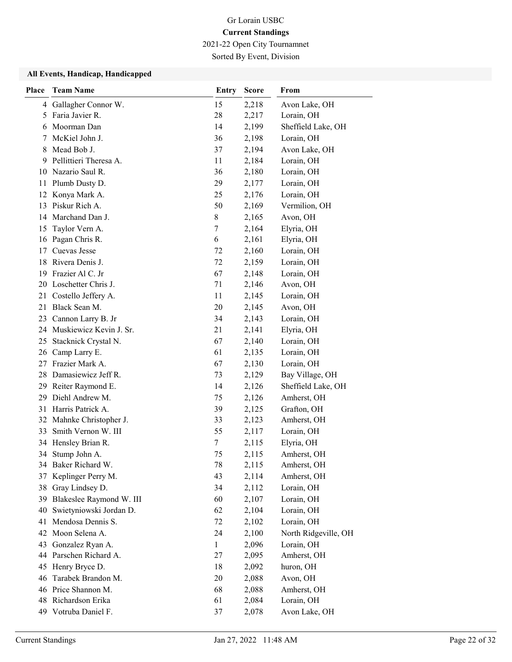2021-22 Open City Tournamnet

Sorted By Event, Division

| Place | <b>Team Name</b>           | <b>Entry</b> | <b>Score</b> | From                 |
|-------|----------------------------|--------------|--------------|----------------------|
| 4     | Gallagher Connor W.        | 15           | 2,218        | Avon Lake, OH        |
| 5     | Faria Javier R.            | 28           | 2,217        | Lorain, OH           |
| 6     | Moorman Dan                | 14           | 2,199        | Sheffield Lake, OH   |
| 7     | McKiel John J.             | 36           | 2,198        | Lorain, OH           |
| 8     | Mead Bob J.                | 37           | 2,194        | Avon Lake, OH        |
| 9     | Pellittieri Theresa A.     | 11           | 2,184        | Lorain, OH           |
|       | 10 Nazario Saul R.         | 36           | 2,180        | Lorain, OH           |
| 11    | Plumb Dusty D.             | 29           | 2,177        | Lorain, OH           |
|       | 12 Konya Mark A.           | 25           | 2,176        | Lorain, OH           |
| 13    | Piskur Rich A.             | 50           | 2,169        | Vermilion, OH        |
| 14    | Marchand Dan J.            | 8            | 2,165        | Avon, OH             |
| 15    | Taylor Vern A.             | 7            | 2,164        | Elyria, OH           |
|       | 16 Pagan Chris R.          | 6            | 2,161        | Elyria, OH           |
| 17    | Cuevas Jesse               | 72           | 2,160        | Lorain, OH           |
|       | 18 Rivera Denis J.         | 72           | 2,159        | Lorain, OH           |
| 19    | Frazier Al C. Jr           | 67           | 2,148        | Lorain, OH           |
|       | 20 Loschetter Chris J.     | 71           | 2,146        | Avon, OH             |
| 21    | Costello Jeffery A.        | 11           | 2,145        | Lorain, OH           |
|       | 21 Black Sean M.           | 20           | 2,145        | Avon, OH             |
| 23    | Cannon Larry B. Jr         | 34           | 2,143        | Lorain, OH           |
|       | 24 Muskiewicz Kevin J. Sr. | 21           | 2,141        | Elyria, OH           |
| 25    | Stacknick Crystal N.       | 67           | 2,140        | Lorain, OH           |
| 26    | Camp Larry E.              | 61           | 2,135        | Lorain, OH           |
| 27    | Frazier Mark A.            | 67           | 2,130        | Lorain, OH           |
|       | 28 Damasiewicz Jeff R.     | 73           | 2,129        | Bay Village, OH      |
|       | 29 Reiter Raymond E.       | 14           | 2,126        | Sheffield Lake, OH   |
| 29    | Diehl Andrew M.            | 75           | 2,126        | Amherst, OH          |
| 31    | Harris Patrick A.          | 39           | 2,125        | Grafton, OH          |
|       | 32 Mahnke Christopher J.   | 33           | 2,123        | Amherst, OH          |
| 33.   | Smith Vernon W. III        | 55           | 2,117        | Lorain, OH           |
| 34    | Hensley Brian R.           | 7            | 2,115        | Elyria, OH           |
|       | 34 Stump John A.           | 75           | 2,115        | Amherst, OH          |
|       | 34 Baker Richard W.        | 78           | 2,115        | Amherst, OH          |
| 37    | Keplinger Perry M.         | 43           | 2,114        | Amherst, OH          |
| 38    | Gray Lindsey D.            | 34           | 2,112        | Lorain, OH           |
| 39    | Blakeslee Raymond W. III   | 60           | 2,107        | Lorain, OH           |
| 40    | Swietyniowski Jordan D.    | 62           | 2,104        | Lorain, OH           |
| 41    | Mendosa Dennis S.          | 72           | 2,102        | Lorain, OH           |
| 42    | Moon Selena A.             | 24           | 2,100        | North Ridgeville, OH |
| 43    | Gonzalez Ryan A.           | $\mathbf{1}$ | 2,096        | Lorain, OH           |
|       | 44 Parschen Richard A.     | 27           | 2,095        | Amherst, OH          |
| 45    | Henry Bryce D.             | 18           | 2,092        | huron, OH            |
| 46    | Tarabek Brandon M.         | 20           | 2,088        | Avon, OH             |
|       | 46 Price Shannon M.        | 68           | 2,088        | Amherst, OH          |
|       | 48 Richardson Erika        | 61           | 2,084        | Lorain, OH           |
|       | 49 Votruba Daniel F.       | 37           | 2,078        | Avon Lake, OH        |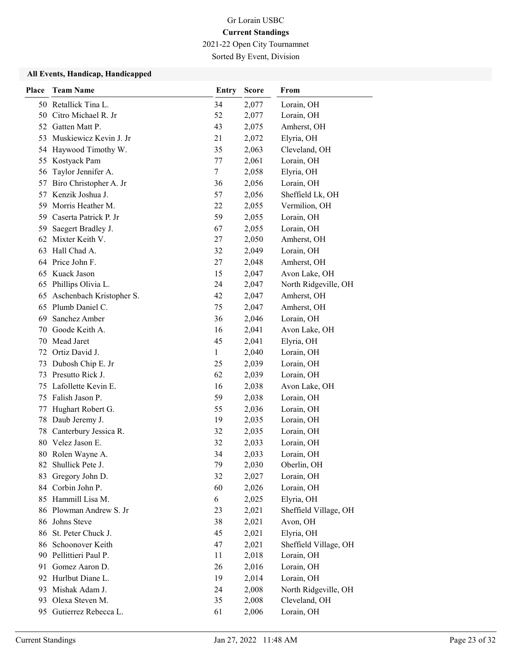2021-22 Open City Tournamnet

Sorted By Event, Division

| <b>Place</b> | <b>Team Name</b>          | <b>Entry</b> | <b>Score</b> | From                  |
|--------------|---------------------------|--------------|--------------|-----------------------|
|              | 50 Retallick Tina L.      | 34           | 2,077        | Lorain, OH            |
| 50           | Citro Michael R. Jr       | 52           | 2,077        | Lorain, OH            |
| 52           | Gatten Matt P.            | 43           | 2,075        | Amherst, OH           |
|              | 53 Muskiewicz Kevin J. Jr | 21           | 2,072        | Elyria, OH            |
| 54           | Haywood Timothy W.        | 35           | 2,063        | Cleveland, OH         |
| 55           | Kostyack Pam              | 77           | 2,061        | Lorain, OH            |
| 56           | Taylor Jennifer A.        | 7            | 2,058        | Elyria, OH            |
| 57           | Biro Christopher A. Jr    | 36           | 2,056        | Lorain, OH            |
| 57           | Kenzik Joshua J.          | 57           | 2,056        | Sheffield Lk, OH      |
| 59           | Morris Heather M.         | 22           | 2,055        | Vermilion, OH         |
| 59           | Caserta Patrick P. Jr     | 59           | 2,055        | Lorain, OH            |
| 59           | Saegert Bradley J.        | 67           | 2,055        | Lorain, OH            |
|              | 62 Mixter Keith V.        | 27           | 2,050        | Amherst, OH           |
| 63           | Hall Chad A.              | 32           | 2,049        | Lorain, OH            |
|              | 64 Price John F.          | 27           | 2,048        | Amherst, OH           |
|              | 65 Kuack Jason            | 15           | 2,047        | Avon Lake, OH         |
|              | 65 Phillips Olivia L.     | 24           | 2,047        | North Ridgeville, OH  |
| 65           | Aschenbach Kristopher S.  | 42           | 2,047        | Amherst, OH           |
| 65           | Plumb Daniel C.           | 75           | 2,047        | Amherst, OH           |
| 69           | Sanchez Amber             | 36           | 2,046        | Lorain, OH            |
| 70           | Goode Keith A.            | 16           | 2,041        | Avon Lake, OH         |
| 70           | Mead Jaret                | 45           | 2,041        | Elyria, OH            |
| 72           | Ortiz David J.            | $\mathbf{1}$ | 2,040        | Lorain, OH            |
| 73           | Dubosh Chip E. Jr         | 25           | 2,039        | Lorain, OH            |
| 73           | Presutto Rick J.          | 62           | 2,039        | Lorain, OH            |
| 75           | Lafollette Kevin E.       | 16           | 2,038        | Avon Lake, OH         |
| 75           | Falish Jason P.           | 59           | 2,038        | Lorain, OH            |
| 77           | Hughart Robert G.         | 55           | 2,036        | Lorain, OH            |
| 78           | Daub Jeremy J.            | 19           | 2,035        | Lorain, OH            |
| 78           | Canterbury Jessica R.     | 32           | 2,035        | Lorain, OH            |
|              | 80 Velez Jason E.         | 32           | 2,033        | Lorain, OH            |
|              | 80 Rolen Wayne A.         | 34           | 2,033        | Lorain, OH            |
|              | 82 Shullick Pete J.       | 79           | 2,030        | Oberlin, OH           |
| 83           | Gregory John D.           | 32           | 2,027        | Lorain, OH            |
| 84           | Corbin John P.            | 60           | 2,026        | Lorain, OH            |
|              | 85 Hammill Lisa M.        | 6            | 2,025        | Elyria, OH            |
|              | 86 Plowman Andrew S. Jr   | 23           | 2,021        | Sheffield Village, OH |
| 86           | Johns Steve               | 38           | 2,021        | Avon, OH              |
| 86           | St. Peter Chuck J.        | 45           | 2,021        | Elyria, OH            |
| 86-          | Schoonover Keith          | 47           | 2,021        | Sheffield Village, OH |
|              | 90 Pellittieri Paul P.    | 11           | 2,018        | Lorain, OH            |
| 91.          | Gomez Aaron D.            | 26           | 2,016        | Lorain, OH            |
|              | 92 Hurlbut Diane L.       | 19           | 2,014        | Lorain, OH            |
|              | 93 Mishak Adam J.         | 24           | 2,008        | North Ridgeville, OH  |
| 93           | Olexa Steven M.           | 35           | 2,008        | Cleveland, OH         |
|              | 95 Gutierrez Rebecca L.   | 61           | 2,006        | Lorain, OH            |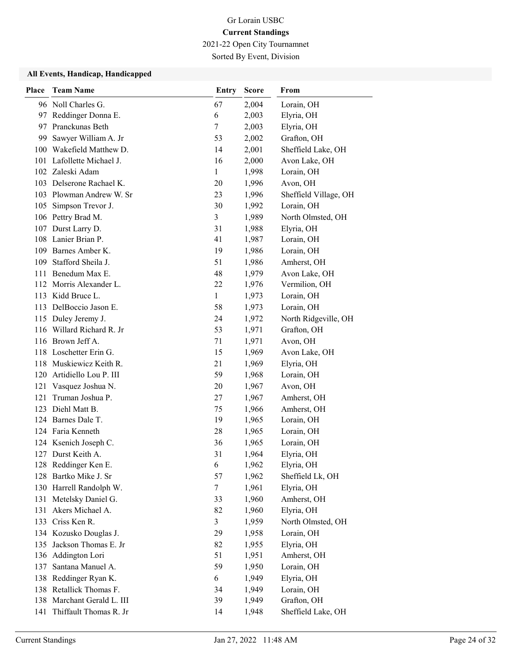2021-22 Open City Tournamnet

Sorted By Event, Division

| Place | <b>Team Name</b>           | <b>Entry</b> | <b>Score</b> | From                  |
|-------|----------------------------|--------------|--------------|-----------------------|
|       | 96 Noll Charles G.         | 67           | 2,004        | Lorain, OH            |
|       | 97 Reddinger Donna E.      | 6            | 2,003        | Elyria, OH            |
|       | 97 Pranckunas Beth         | 7            | 2,003        | Elyria, OH            |
|       | 99 Sawyer William A. Jr    | 53           | 2,002        | Grafton, OH           |
|       | 100 Wakefield Matthew D.   | 14           | 2,001        | Sheffield Lake, OH    |
|       | 101 Lafollette Michael J.  | 16           | 2,000        | Avon Lake, OH         |
|       | 102 Zaleski Adam           | 1            | 1,998        | Lorain, OH            |
|       | 103 Delserone Rachael K.   | 20           | 1,996        | Avon, OH              |
|       | 103 Plowman Andrew W. Sr   | 23           | 1,996        | Sheffield Village, OH |
| 105   | Simpson Trevor J.          | 30           | 1,992        | Lorain, OH            |
|       | 106 Pettry Brad M.         | 3            | 1,989        | North Olmsted, OH     |
|       | 107 Durst Larry D.         | 31           | 1,988        | Elyria, OH            |
|       | 108 Lanier Brian P.        | 41           | 1,987        | Lorain, OH            |
|       | 109 Barnes Amber K.        | 19           | 1,986        | Lorain, OH            |
|       | 109 Stafford Sheila J.     | 51           | 1,986        | Amherst, OH           |
|       | 111 Benedum Max E.         | 48           | 1,979        | Avon Lake, OH         |
|       | 112 Morris Alexander L.    | 22           | 1,976        | Vermilion, OH         |
|       | 113 Kidd Bruce L.          | 1            | 1,973        | Lorain, OH            |
|       | 113 DelBoccio Jason E.     | 58           | 1,973        | Lorain, OH            |
|       | 115 Duley Jeremy J.        | 24           | 1,972        | North Ridgeville, OH  |
|       | 116 Willard Richard R. Jr  | 53           | 1,971        | Grafton, OH           |
|       | 116 Brown Jeff A.          | 71           | 1,971        | Avon, OH              |
|       | 118 Loschetter Erin G.     | 15           | 1,969        | Avon Lake, OH         |
|       | 118 Muskiewicz Keith R.    | 21           | 1,969        | Elyria, OH            |
|       | 120 Artidiello Lou P. III  | 59           | 1,968        | Lorain, OH            |
| 121   | Vasquez Joshua N.          | 20           | 1,967        | Avon, OH              |
| 121   | Truman Joshua P.           | 27           | 1,967        | Amherst, OH           |
|       | 123 Diehl Matt B.          | 75           | 1,966        | Amherst, OH           |
|       | 124 Barnes Dale T.         | 19           | 1,965        | Lorain, OH            |
|       | 124 Faria Kenneth          | 28           | 1,965        | Lorain, OH            |
|       | 124 Ksenich Joseph C.      | 36           | 1,965        | Lorain, OH            |
|       | 127 Durst Keith A.         | 31           | 1,964        | Elyria, OH            |
|       | 128 Reddinger Ken E.       | 6            | 1,962        | Elyria, OH            |
|       | 128 Bartko Mike J. Sr      | 57           | 1,962        | Sheffield Lk, OH      |
|       | 130 Harrell Randolph W.    | $\tau$       | 1,961        | Elyria, OH            |
|       | 131 Metelsky Daniel G.     | 33           | 1,960        | Amherst, OH           |
| 131   | Akers Michael A.           | 82           | 1,960        | Elyria, OH            |
|       | 133 Criss Ken R.           | 3            | 1,959        | North Olmsted, OH     |
|       | 134 Kozusko Douglas J.     | 29           | 1,958        | Lorain, OH            |
|       | 135 Jackson Thomas E. Jr   | 82           | 1,955        | Elyria, OH            |
|       | 136 Addington Lori         | 51           | 1,951        | Amherst, OH           |
| 137   | Santana Manuel A.          | 59           | 1,950        | Lorain, OH            |
| 138   | Reddinger Ryan K.          | 6            | 1,949        | Elyria, OH            |
|       | 138 Retallick Thomas F.    | 34           | 1,949        | Lorain, OH            |
|       | 138 Marchant Gerald L. III | 39           | 1,949        | Grafton, OH           |
| 141   | Thiffault Thomas R. Jr     | 14           | 1,948        | Sheffield Lake, OH    |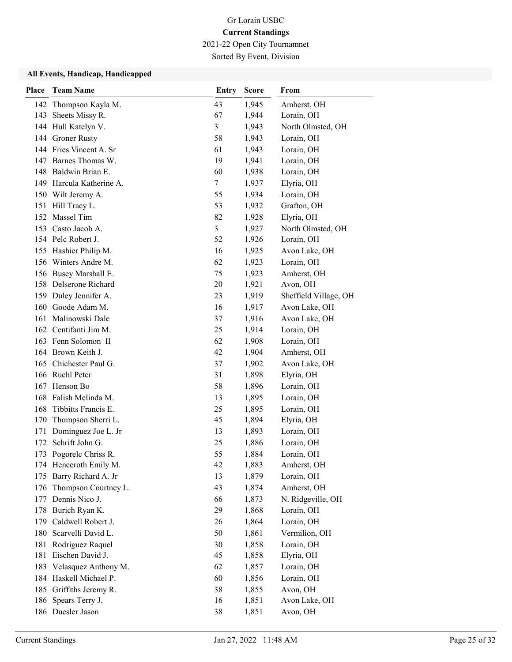2021-22 Open City Tournamnet

Sorted By Event, Division

| Place      | <b>Team Name</b>                         | <b>Entry</b>   | <b>Score</b>   | From                     |
|------------|------------------------------------------|----------------|----------------|--------------------------|
|            | 142 Thompson Kayla M.                    | 43             | 1,945          | Amherst, OH              |
|            | 143 Sheets Missy R.                      | 67             | 1,944          | Lorain, OH               |
|            | 144 Hull Katelyn V.                      | 3              | 1,943          | North Olmsted, OH        |
|            | 144 Groner Rusty                         | 58             | 1,943          | Lorain, OH               |
|            | 144 Fries Vincent A. Sr                  | 61             | 1,943          | Lorain, OH               |
|            | 147 Barnes Thomas W.                     | 19             | 1,941          | Lorain, OH               |
|            | 148 Baldwin Brian E.                     | 60             | 1,938          | Lorain, OH               |
|            | 149 Harcula Katherine A.                 | $\tau$         | 1,937          | Elyria, OH               |
|            | 150 Wilt Jeremy A.                       | 55             | 1,934          | Lorain, OH               |
|            | 151 Hill Tracy L.                        | 53             | 1,932          | Grafton, OH              |
| 152        | Massel Tim                               | 82             | 1,928          | Elyria, OH               |
|            | 153 Casto Jacob A.                       | $\overline{3}$ | 1,927          | North Olmsted, OH        |
|            | 154 Pelc Robert J.                       | 52             | 1,926          | Lorain, OH               |
|            | 155 Hashier Philip M.                    | 16             | 1,925          | Avon Lake, OH            |
|            | 156 Winters Andre M.                     | 62             | 1,923          | Lorain, OH               |
|            | 156 Busey Marshall E.                    | 75             | 1,923          | Amherst, OH              |
|            | 158 Delserone Richard                    | 20             | 1,921          | Avon, OH                 |
|            | 159 Duley Jennifer A.                    | 23             | 1,919          | Sheffield Village, OH    |
|            | 160 Goode Adam M.                        | 16             | 1,917          | Avon Lake, OH            |
| 161        | Malinowski Dale                          | 37             | 1,916          | Avon Lake, OH            |
|            | 162 Centifanti Jim M.                    | 25             | 1,914          | Lorain, OH               |
|            | 163 Fenn Solomon II                      | 62             | 1,908          | Lorain, OH               |
|            | 164 Brown Keith J.                       | 42             | 1,904          | Amherst, OH              |
|            | 165 Chichester Paul G.                   | 37             | 1,902          | Avon Lake, OH            |
|            | 166 Ruehl Peter                          | 31             | 1,898          | Elyria, OH               |
|            | 167 Henson Bo                            | 58             | 1,896          | Lorain, OH               |
| 168        | Falish Melinda M.                        | 13             | 1,895          | Lorain, OH               |
| 168        | Tibbitts Francis E.                      | 25             | 1,895          | Lorain, OH               |
| 170        | Thompson Sherri L.                       | 45             | 1,894          | Elyria, OH               |
| 171        | Dominguez Joe L. Jr                      | 13             | 1,893          | Lorain, OH               |
| 172        | Schrift John G.                          | 25             | 1,886          | Lorain, OH               |
|            | 173 Pogorelc Chriss R.                   | 55             | 1,884          | Lorain, OH               |
|            | 174 Henceroth Emily M.                   | 42             | 1,883          | Amherst, OH              |
| 175        | Barry Richard A. Jr                      | 13             | 1,879          | Lorain, OH               |
| 176        | Thompson Courtney L.                     | 43             | 1,874          | Amherst, OH              |
| 177        | Dennis Nico J.                           | 66             | 1,873          | N. Ridgeville, OH        |
| 178        | Burich Ryan K.                           | 29             | 1,868          | Lorain, OH               |
| 179        | Caldwell Robert J.<br>Scarvelli David L. | 26             | 1,864          | Lorain, OH               |
| 180        |                                          | 50             | 1,861          | Vermilion, OH            |
| 181<br>181 | Rodriguez Raquel<br>Eischen David J.     | 30<br>45       | 1,858<br>1,858 | Lorain, OH<br>Elyria, OH |
| 183        | Velasquez Anthony M.                     | 62             |                | Lorain, OH               |
|            | Haskell Michael P.                       | 60             | 1,857<br>1,856 | Lorain, OH               |
| 184        |                                          | 38             |                | Avon, OH                 |
| 185<br>186 | Griffiths Jeremy R.<br>Spears Terry J.   | 16             | 1,855<br>1,851 | Avon Lake, OH            |
|            | 186 Duesler Jason                        | 38             | 1,851          | Avon, OH                 |
|            |                                          |                |                |                          |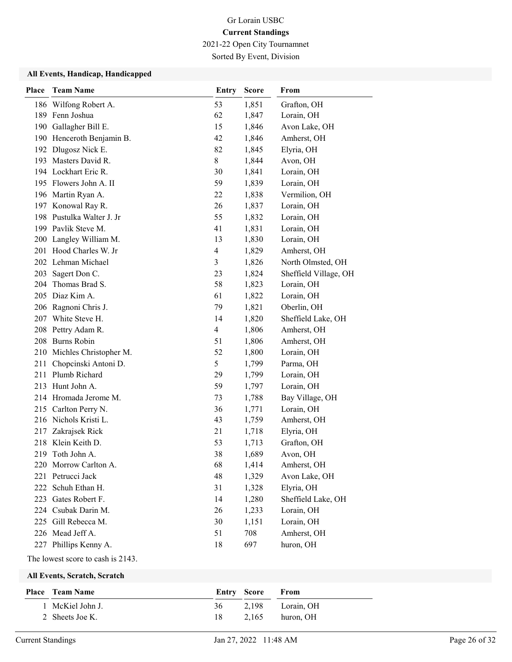2021-22 Open City Tournamnet

Sorted By Event, Division

### All Events, Handicap, Handicapped

| <b>Place</b> | <b>Team Name</b>           | <b>Entry</b> | <b>Score</b> | From                  |
|--------------|----------------------------|--------------|--------------|-----------------------|
|              | 186 Wilfong Robert A.      | 53           | 1,851        | Grafton, OH           |
|              | 189 Fenn Joshua            | 62           | 1,847        | Lorain, OH            |
| 190          | Gallagher Bill E.          | 15           | 1,846        | Avon Lake, OH         |
|              | 190 Henceroth Benjamin B.  | 42           | 1,846        | Amherst, OH           |
|              | 192 Dlugosz Nick E.        | 82           | 1,845        | Elyria, OH            |
|              | 193 Masters David R.       | 8            | 1,844        | Avon, OH              |
|              | 194 Lockhart Eric R.       | 30           | 1,841        | Lorain, OH            |
|              | 195 Flowers John A. II     | 59           | 1,839        | Lorain, OH            |
|              | 196 Martin Ryan A.         | 22           | 1,838        | Vermilion, OH         |
|              | 197 Konowal Ray R.         | 26           | 1,837        | Lorain, OH            |
|              | 198 Pustulka Walter J. Jr  | 55           | 1,832        | Lorain, OH            |
|              | 199 Pavlik Steve M.        | 41           | 1,831        | Lorain, OH            |
|              | 200 Langley William M.     | 13           | 1,830        | Lorain, OH            |
|              | 201 Hood Charles W. Jr     | 4            | 1,829        | Amherst, OH           |
|              | 202 Lehman Michael         | 3            | 1,826        | North Olmsted, OH     |
| 203          | Sagert Don C.              | 23           | 1,824        | Sheffield Village, OH |
| 204          | Thomas Brad S.             | 58           | 1,823        | Lorain, OH            |
|              | 205 Diaz Kim A.            | 61           | 1,822        | Lorain, OH            |
| 206          | Ragnoni Chris J.           | 79           | 1,821        | Oberlin, OH           |
| 207          | White Steve H.             | 14           | 1,820        | Sheffield Lake, OH    |
|              | 208 Pettry Adam R.         | 4            | 1,806        | Amherst, OH           |
|              | 208 Burns Robin            | 51           | 1,806        | Amherst, OH           |
|              | 210 Michles Christopher M. | 52           | 1,800        | Lorain, OH            |
| 211          | Chopcinski Antoni D.       | 5            | 1,799        | Parma, OH             |
|              | 211 Plumb Richard          | 29           | 1,799        | Lorain, OH            |
|              | 213 Hunt John A.           | 59           | 1,797        | Lorain, OH            |
|              | 214 Hromada Jerome M.      | 73           | 1,788        | Bay Village, OH       |
|              | 215 Carlton Perry N.       | 36           | 1,771        | Lorain, OH            |
|              | 216 Nichols Kristi L.      | 43           | 1,759        | Amherst, OH           |
| 217          | Zakrajsek Rick             | 21           | 1,718        | Elyria, OH            |
|              | 218 Klein Keith D.         | 53           | 1,713        | Grafton, OH           |
| 219          | Toth John A.               | 38           | 1,689        | Avon, OH              |
|              | 220 Morrow Carlton A.      | 68           | 1,414        | Amherst, OH           |
| 221          | Petrucci Jack              | 48           | 1,329        | Avon Lake, OH         |
| 222          | Schuh Ethan H.             | 31           | 1,328        | Elyria, OH            |
|              | 223 Gates Robert F.        | 14           | 1,280        | Sheffield Lake, OH    |
|              | 224 Csubak Darin M.        | 26           | 1,233        | Lorain, OH            |
| 225          | Gill Rebecca M.            | 30           | 1,151        | Lorain, OH            |
|              | 226 Mead Jeff A.           | 51           | 708          | Amherst, OH           |
|              | 227 Phillips Kenny A.      | 18           | 697          | huron, OH             |

The lowest score to cash is 2143.

| Place Team Name  |    | <b>Entry Score From</b> |                     |
|------------------|----|-------------------------|---------------------|
| 1 McKiel John J. |    |                         | 36 2.198 Lorain, OH |
| 2 Sheets Joe K.  | 18 |                         | $2.165$ huron, OH   |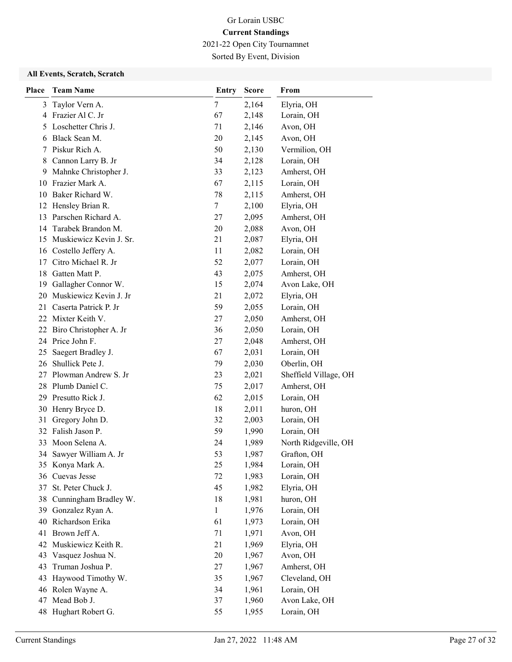2021-22 Open City Tournamnet

Sorted By Event, Division

| <b>Place</b> | <b>Team Name</b>          | <b>Entry</b> | <b>Score</b> | From                  |
|--------------|---------------------------|--------------|--------------|-----------------------|
| 3            | Taylor Vern A.            | 7            | 2,164        | Elyria, OH            |
| 4            | Frazier Al C. Jr          | 67           | 2,148        | Lorain, OH            |
| 5            | Loschetter Chris J.       | 71           | 2,146        | Avon, OH              |
| 6            | Black Sean M.             | 20           | 2,145        | Avon, OH              |
| 7            | Piskur Rich A.            | 50           | 2,130        | Vermilion, OH         |
| 8            | Cannon Larry B. Jr        | 34           | 2,128        | Lorain, OH            |
| 9            | Mahnke Christopher J.     | 33           | 2,123        | Amherst, OH           |
|              | 10 Frazier Mark A.        | 67           | 2,115        | Lorain, OH            |
|              | 10 Baker Richard W.       | 78           | 2,115        | Amherst, OH           |
|              | 12 Hensley Brian R.       | 7            | 2,100        | Elyria, OH            |
| 13           | Parschen Richard A.       | 27           | 2,095        | Amherst, OH           |
|              | 14 Tarabek Brandon M.     | 20           | 2,088        | Avon, OH              |
| 15           | Muskiewicz Kevin J. Sr.   | 21           | 2,087        | Elyria, OH            |
|              | 16 Costello Jeffery A.    | 11           | 2,082        | Lorain, OH            |
| 17           | Citro Michael R. Jr       | 52           | 2,077        | Lorain, OH            |
|              | 18 Gatten Matt P.         | 43           | 2,075        | Amherst, OH           |
| 19           | Gallagher Connor W.       | 15           | 2,074        | Avon Lake, OH         |
| 20           | Muskiewicz Kevin J. Jr    | 21           | 2,072        | Elyria, OH            |
| 21           | Caserta Patrick P. Jr     | 59           | 2,055        | Lorain, OH            |
|              | 22 Mixter Keith V.        | 27           | 2,050        | Amherst, OH           |
|              | 22 Biro Christopher A. Jr | 36           | 2,050        | Lorain, OH            |
|              | 24 Price John F.          | 27           | 2,048        | Amherst, OH           |
| 25           | Saegert Bradley J.        | 67           | 2,031        | Lorain, OH            |
| 26           | Shullick Pete J.          | 79           | 2,030        | Oberlin, OH           |
| 27           | Plowman Andrew S. Jr      | 23           | 2,021        | Sheffield Village, OH |
| 28           | Plumb Daniel C.           | 75           | 2,017        | Amherst, OH           |
|              | 29 Presutto Rick J.       | 62           | 2,015        | Lorain, OH            |
|              | 30 Henry Bryce D.         | 18           | 2,011        | huron, OH             |
| 31           | Gregory John D.           | 32           | 2,003        | Lorain, OH            |
|              | 32 Falish Jason P.        | 59           | 1,990        | Lorain, OH            |
| 33           | Moon Selena A.            | 24           | 1,989        | North Ridgeville, OH  |
|              | 34 Sawyer William A. Jr   | 53           | 1,987        | Grafton, OH           |
|              | 35 Konya Mark A.          | 25           | 1,984        | Lorain, OH            |
|              | 36 Cuevas Jesse           | 72           | 1,983        | Lorain, OH            |
| 37           | St. Peter Chuck J.        | 45           | 1,982        | Elyria, OH            |
|              | 38 Cunningham Bradley W.  | 18           | 1,981        | huron, OH             |
| 39           | Gonzalez Ryan A.          | $\mathbf{1}$ | 1,976        | Lorain, OH            |
|              | 40 Richardson Erika       | 61           | 1,973        | Lorain, OH            |
|              | 41 Brown Jeff A.          | 71           | 1,971        | Avon, OH              |
|              | 42 Muskiewicz Keith R.    | 21           | 1,969        | Elyria, OH            |
| 43           | Vasquez Joshua N.         | 20           | 1,967        | Avon, OH              |
| 43           | Truman Joshua P.          | 27           | 1,967        | Amherst, OH           |
| 43           | Haywood Timothy W.        | 35           | 1,967        | Cleveland, OH         |
|              | 46 Rolen Wayne A.         | 34           | 1,961        | Lorain, OH            |
|              | 47 Mead Bob J.            | 37           | 1,960        | Avon Lake, OH         |
|              | 48 Hughart Robert G.      | 55           | 1,955        | Lorain, OH            |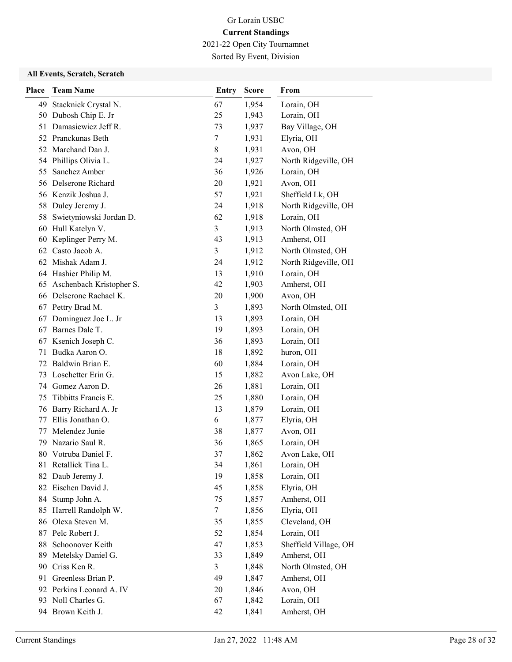2021-22 Open City Tournamnet

Sorted By Event, Division

| Place | <b>Team Name</b>                   | Entry    | <b>Score</b>   | From                             |
|-------|------------------------------------|----------|----------------|----------------------------------|
| 49    | Stacknick Crystal N.               | 67       | 1,954          | Lorain, OH                       |
|       | 50 Dubosh Chip E. Jr               | 25       | 1,943          | Lorain, OH                       |
| 51    | Damasiewicz Jeff R.                | 73       | 1,937          | Bay Village, OH                  |
|       | 52 Pranckunas Beth                 | 7        | 1,931          | Elyria, OH                       |
|       | 52 Marchand Dan J.                 | 8        | 1,931          | Avon, OH                         |
|       | 54 Phillips Olivia L.              | 24       | 1,927          | North Ridgeville, OH             |
| 55    | Sanchez Amber                      | 36       | 1,926          | Lorain, OH                       |
|       | 56 Delserone Richard               | 20       | 1,921          | Avon, OH                         |
|       | 56 Kenzik Joshua J.                | 57       | 1,921          | Sheffield Lk, OH                 |
| 58    | Duley Jeremy J.                    | 24       | 1,918          | North Ridgeville, OH             |
| 58    | Swietyniowski Jordan D.            | 62       | 1,918          | Lorain, OH                       |
| 60    | Hull Katelyn V.                    | 3        | 1,913          | North Olmsted, OH                |
| 60    | Keplinger Perry M.                 | 43       | 1,913          | Amherst, OH                      |
|       | 62 Casto Jacob A.                  | 3        | 1,912          | North Olmsted, OH                |
|       | 62 Mishak Adam J.                  | 24       | 1,912          | North Ridgeville, OH             |
|       | 64 Hashier Philip M.               | 13       | 1,910          | Lorain, OH                       |
|       | 65 Aschenbach Kristopher S.        | 42       | 1,903          | Amherst, OH                      |
|       | 66 Delserone Rachael K.            | 20       | 1,900          | Avon, OH                         |
|       | 67 Pettry Brad M.                  | 3        | 1,893          | North Olmsted, OH                |
|       | 67 Dominguez Joe L. Jr             | 13       | 1,893          | Lorain, OH                       |
| 67    | Barnes Dale T.                     | 19       | 1,893          | Lorain, OH                       |
| 67    | Ksenich Joseph C.                  | 36       | 1,893          | Lorain, OH                       |
| 71    | Budka Aaron O.                     | 18       | 1,892          | huron, OH                        |
| 72    | Baldwin Brian E.                   | 60       | 1,884          | Lorain, OH                       |
|       | 73 Loschetter Erin G.              | 15       | 1,882          | Avon Lake, OH                    |
| 74    | Gomez Aaron D.                     | 26       | 1,881          | Lorain, OH                       |
| 75    | Tibbitts Francis E.                | 25       | 1,880          | Lorain, OH                       |
| 76    | Barry Richard A. Jr                | 13       | 1,879          | Lorain, OH                       |
| 77    | Ellis Jonathan O.                  | 6        | 1,877          | Elyria, OH                       |
| 77    | Melendez Junie                     | 38       | 1,877          | Avon, OH                         |
| 79    | Nazario Saul R.                    | 36       | 1,865          | Lorain, OH                       |
|       | 80 Votruba Daniel F.               | 37       | 1,862          | Avon Lake, OH                    |
|       | 81 Retallick Tina L.               | 34       | 1,861          | Lorain, OH                       |
|       | 82 Daub Jeremy J.                  | 19       | 1,858          | Lorain, OH                       |
|       | 82 Eischen David J.                | 45       | 1,858          | Elyria, OH                       |
| 84    | Stump John A.                      | 75       | 1,857          | Amherst, OH                      |
|       | 85 Harrell Randolph W.             | 7        | 1,856          | Elyria, OH                       |
| 86    | Olexa Steven M.                    | 35       | 1,855          | Cleveland, OH                    |
| 87    | Pelc Robert J.                     | 52       | 1,854          | Lorain, OH                       |
| 88    | Schoonover Keith                   | 47       | 1,853          | Sheffield Village, OH            |
| 89    | Metelsky Daniel G.<br>Criss Ken R. | 33       | 1,849          | Amherst, OH                      |
| 90    | Greenless Brian P.                 | 3<br>49  | 1,848          | North Olmsted, OH<br>Amherst, OH |
| 91    | 92 Perkins Leonard A. IV           |          | 1,847          |                                  |
|       | 93 Noll Charles G.                 | 20<br>67 | 1,846<br>1,842 | Avon, OH<br>Lorain, OH           |
|       | 94 Brown Keith J.                  | 42       | 1,841          | Amherst, OH                      |
|       |                                    |          |                |                                  |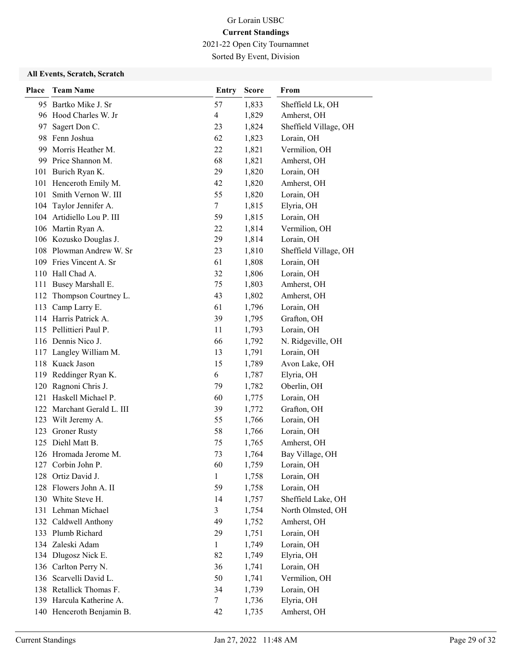2021-22 Open City Tournamnet

Sorted By Event, Division

| Place | <b>Team Name</b>           | <b>Entry</b>   | <b>Score</b> | From                  |
|-------|----------------------------|----------------|--------------|-----------------------|
|       | 95 Bartko Mike J. Sr       | 57             | 1,833        | Sheffield Lk, OH      |
|       | 96 Hood Charles W. Jr      | $\overline{4}$ | 1,829        | Amherst, OH           |
| 97    | Sagert Don C.              | 23             | 1,824        | Sheffield Village, OH |
|       | 98 Fenn Joshua             | 62             | 1,823        | Lorain, OH            |
| 99    | Morris Heather M.          | 22             | 1,821        | Vermilion, OH         |
|       | 99 Price Shannon M.        | 68             | 1,821        | Amherst, OH           |
|       | 101 Burich Ryan K.         | 29             | 1,820        | Lorain, OH            |
|       | 101 Henceroth Emily M.     | 42             | 1,820        | Amherst, OH           |
| 101   | Smith Vernon W. III        | 55             | 1,820        | Lorain, OH            |
| 104   | Taylor Jennifer A.         | $\tau$         | 1,815        | Elyria, OH            |
|       | 104 Artidiello Lou P. III  | 59             | 1,815        | Lorain, OH            |
|       | 106 Martin Ryan A.         | 22             | 1,814        | Vermilion, OH         |
|       | 106 Kozusko Douglas J.     | 29             | 1,814        | Lorain, OH            |
|       | 108 Plowman Andrew W. Sr   | 23             | 1,810        | Sheffield Village, OH |
|       | 109 Fries Vincent A. Sr    | 61             | 1,808        | Lorain, OH            |
|       | 110 Hall Chad A.           | 32             | 1,806        | Lorain, OH            |
|       | 111 Busey Marshall E.      | 75             | 1,803        | Amherst, OH           |
| 112   | Thompson Courtney L.       | 43             | 1,802        | Amherst, OH           |
| 113   | Camp Larry E.              | 61             | 1,796        | Lorain, OH            |
|       | 114 Harris Patrick A.      | 39             | 1,795        | Grafton, OH           |
|       | 115 Pellittieri Paul P.    | 11             | 1,793        | Lorain, OH            |
|       | 116 Dennis Nico J.         | 66             | 1,792        | N. Ridgeville, OH     |
|       | 117 Langley William M.     | 13             | 1,791        | Lorain, OH            |
|       | 118 Kuack Jason            | 15             | 1,789        | Avon Lake, OH         |
|       | 119 Reddinger Ryan K.      | 6              | 1,787        | Elyria, OH            |
| 120   | Ragnoni Chris J.           | 79             | 1,782        | Oberlin, OH           |
| 121   | Haskell Michael P.         | 60             | 1,775        | Lorain, OH            |
|       | 122 Marchant Gerald L. III | 39             | 1,772        | Grafton, OH           |
| 123   | Wilt Jeremy A.             | 55             | 1,766        | Lorain, OH            |
| 123   | <b>Groner Rusty</b>        | 58             | 1,766        | Lorain, OH            |
|       | 125 Diehl Matt B.          | 75             | 1,765        | Amherst, OH           |
|       | 126 Hromada Jerome M.      | 73             | 1,764        | Bay Village, OH       |
| 127   | Corbin John P.             | 60             | 1,759        | Lorain, OH            |
| 128   | Ortiz David J.             | $\mathbf{1}$   | 1,758        | Lorain, OH            |
| 128   | Flowers John A. II         | 59             | 1,758        | Lorain, OH            |
| 130   | White Steve H.             | 14             | 1,757        | Sheffield Lake, OH    |
|       | 131 Lehman Michael         | 3              | 1,754        | North Olmsted, OH     |
|       | 132 Caldwell Anthony       | 49             | 1,752        | Amherst, OH           |
| 133   | Plumb Richard              | 29             | 1,751        | Lorain, OH            |
|       | 134 Zaleski Adam           | 1              | 1,749        | Lorain, OH            |
|       | 134 Dlugosz Nick E.        | 82             | 1,749        | Elyria, OH            |
| 136   | Carlton Perry N.           | 36             | 1,741        | Lorain, OH            |
| 136   | Scarvelli David L.         | 50             | 1,741        | Vermilion, OH         |
| 138   | Retallick Thomas F.        | 34             | 1,739        | Lorain, OH            |
|       | 139 Harcula Katherine A.   | 7              | 1,736        | Elyria, OH            |
|       | 140 Henceroth Benjamin B.  | 42             | 1,735        | Amherst, OH           |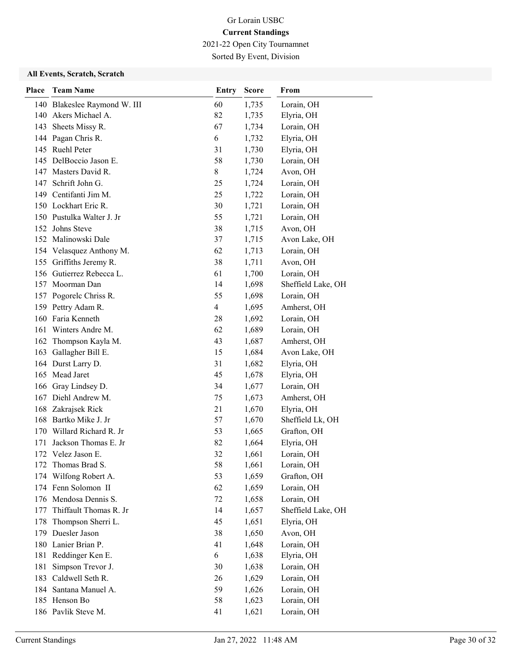2021-22 Open City Tournamnet Sorted By Event, Division

| Place      | <b>Team Name</b>                                | Entry          | <b>Score</b>   | From                   |
|------------|-------------------------------------------------|----------------|----------------|------------------------|
|            | 140 Blakeslee Raymond W. III                    | 60             | 1,735          | Lorain, OH             |
|            | 140 Akers Michael A.                            | 82             | 1,735          | Elyria, OH             |
|            | 143 Sheets Missy R.                             | 67             | 1,734          | Lorain, OH             |
|            | 144 Pagan Chris R.                              | 6              | 1,732          | Elyria, OH             |
|            | 145 Ruehl Peter                                 | 31             | 1,730          | Elyria, OH             |
|            | 145 DelBoccio Jason E.                          | 58             | 1,730          | Lorain, OH             |
|            | 147 Masters David R.                            | 8              | 1,724          | Avon, OH               |
|            | 147 Schrift John G.                             | 25             | 1,724          | Lorain, OH             |
|            | 149 Centifanti Jim M.                           | 25             | 1,722          | Lorain, OH             |
|            | 150 Lockhart Eric R.                            | 30             | 1,721          | Lorain, OH             |
|            | 150 Pustulka Walter J. Jr                       | 55             | 1,721          | Lorain, OH             |
|            | 152 Johns Steve                                 | 38             | 1,715          | Avon, OH               |
|            | 152 Malinowski Dale                             | 37             | 1,715          | Avon Lake, OH          |
|            | 154 Velasquez Anthony M.                        | 62             | 1,713          | Lorain, OH             |
|            | 155 Griffiths Jeremy R.                         | 38             | 1,711          | Avon, OH               |
|            | 156 Gutierrez Rebecca L.                        | 61             | 1,700          | Lorain, OH             |
|            | 157 Moorman Dan                                 | 14             | 1,698          | Sheffield Lake, OH     |
|            | 157 Pogorelc Chriss R.                          | 55             | 1,698          | Lorain, OH             |
|            | 159 Pettry Adam R.                              | $\overline{4}$ | 1,695          | Amherst, OH            |
|            | 160 Faria Kenneth                               | 28             | 1,692          | Lorain, OH             |
| 161        | Winters Andre M.                                | 62             | 1,689          | Lorain, OH             |
| 162        | Thompson Kayla M.                               | 43             | 1,687          | Amherst, OH            |
| 163        | Gallagher Bill E.                               | 15             | 1,684          | Avon Lake, OH          |
|            | 164 Durst Larry D.                              | 31             | 1,682          | Elyria, OH             |
|            | 165 Mead Jaret                                  | 45             | 1,678          | Elyria, OH             |
| 166        | Gray Lindsey D.                                 | 34             | 1,677          | Lorain, OH             |
|            | 167 Diehl Andrew M.                             | 75             | 1,673          | Amherst, OH            |
|            | 168 Zakrajsek Rick                              | 21             | 1,670          | Elyria, OH             |
|            | 168 Bartko Mike J. Jr                           | 57             | 1,670          | Sheffield Lk, OH       |
| 170        | Willard Richard R. Jr                           | 53             | 1,665          | Grafton, OH            |
| 171        | Jackson Thomas E. Jr                            | 82             | 1,664          | Elyria, OH             |
|            | 172 Velez Jason E.                              | 32             | 1,661          | Lorain, OH             |
| 172        | Thomas Brad S.                                  | 58             | 1,661          | Lorain, OH             |
| 174        | Wilfong Robert A.                               | 53             | 1,659          | Grafton, OH            |
|            | 174 Fenn Solomon II                             | 62             | 1,659          | Lorain, OH             |
|            | 176 Mendosa Dennis S.<br>Thiffault Thomas R. Jr | 72<br>14       | 1,658          | Lorain, OH             |
| 177<br>178 |                                                 | 45             | 1,657          | Sheffield Lake, OH     |
| 179        | Thompson Sherri L.<br>Duesler Jason             | 38             | 1,651<br>1,650 | Elyria, OH<br>Avon, OH |
|            | Lanier Brian P.                                 | 41             |                | Lorain, OH             |
| 180<br>181 | Reddinger Ken E.                                | 6              | 1,648<br>1,638 | Elyria, OH             |
| 181        | Simpson Trevor J.                               | 30             | 1,638          | Lorain, OH             |
| 183        | Caldwell Seth R.                                | 26             | 1,629          | Lorain, OH             |
| 184        | Santana Manuel A.                               | 59             | 1,626          | Lorain, OH             |
|            | 185 Henson Bo                                   | 58             | 1,623          | Lorain, OH             |
|            | 186 Pavlik Steve M.                             | 41             | 1,621          | Lorain, OH             |
|            |                                                 |                |                |                        |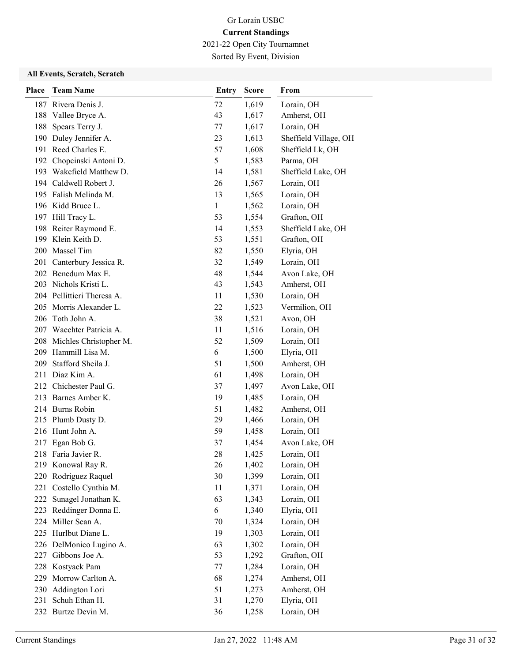2021-22 Open City Tournamnet

Sorted By Event, Division

| <b>Place</b> | <b>Team Name</b>           | <b>Entry</b> | <b>Score</b> | From                  |
|--------------|----------------------------|--------------|--------------|-----------------------|
|              | 187 Rivera Denis J.        | 72           | 1,619        | Lorain, OH            |
|              | 188 Vallee Bryce A.        | 43           | 1,617        | Amherst, OH           |
| 188          | Spears Terry J.            | 77           | 1,617        | Lorain, OH            |
|              | 190 Duley Jennifer A.      | 23           | 1,613        | Sheffield Village, OH |
|              | 191 Reed Charles E.        | 57           | 1,608        | Sheffield Lk, OH      |
|              | 192 Chopcinski Antoni D.   | 5            | 1,583        | Parma, OH             |
|              | 193 Wakefield Matthew D.   | 14           | 1,581        | Sheffield Lake, OH    |
|              | 194 Caldwell Robert J.     | 26           | 1,567        | Lorain, OH            |
|              | 195 Falish Melinda M.      | 13           | 1,565        | Lorain, OH            |
|              | 196 Kidd Bruce L.          | $\mathbf{1}$ | 1,562        | Lorain, OH            |
|              | 197 Hill Tracy L.          | 53           | 1,554        | Grafton, OH           |
|              | 198 Reiter Raymond E.      | 14           | 1,553        | Sheffield Lake, OH    |
|              | 199 Klein Keith D.         | 53           | 1,551        | Grafton, OH           |
|              | 200 Massel Tim             | 82           | 1,550        | Elyria, OH            |
|              | 201 Canterbury Jessica R.  | 32           | 1,549        | Lorain, OH            |
|              | 202 Benedum Max E.         | 48           | 1,544        | Avon Lake, OH         |
|              | 203 Nichols Kristi L.      | 43           | 1,543        | Amherst, OH           |
|              | 204 Pellittieri Theresa A. | 11           | 1,530        | Lorain, OH            |
| 205          | Morris Alexander L.        | 22           | 1,523        | Vermilion, OH         |
|              | 206 Toth John A.           | 38           | 1,521        | Avon, OH              |
|              | 207 Waechter Patricia A.   | 11           | 1,516        | Lorain, OH            |
|              | 208 Michles Christopher M. | 52           | 1,509        | Lorain, OH            |
|              | 209 Hammill Lisa M.        | 6            | 1,500        | Elyria, OH            |
|              | 209 Stafford Sheila J.     | 51           | 1,500        | Amherst, OH           |
|              | 211 Diaz Kim A.            | 61           | 1,498        | Lorain, OH            |
|              | 212 Chichester Paul G.     | 37           | 1,497        | Avon Lake, OH         |
|              | 213 Barnes Amber K.        | 19           | 1,485        | Lorain, OH            |
|              | 214 Burns Robin            | 51           | 1,482        | Amherst, OH           |
|              | 215 Plumb Dusty D.         | 29           | 1,466        | Lorain, OH            |
|              | 216 Hunt John A.           | 59           | 1,458        | Lorain, OH            |
| 217          | Egan Bob G.                | 37           | 1,454        | Avon Lake, OH         |
|              | 218 Faria Javier R.        | 28           | 1,425        | Lorain, OH            |
|              | 219 Konowal Ray R.         | 26           | 1,402        | Lorain, OH            |
| 220          | Rodriguez Raquel           | 30           | 1,399        | Lorain, OH            |
| 221          | Costello Cynthia M.        | 11           | 1,371        | Lorain, OH            |
| 222          | Sunagel Jonathan K.        | 63           | 1,343        | Lorain, OH            |
|              | 223 Reddinger Donna E.     | 6            | 1,340        | Elyria, OH            |
| 224          | Miller Sean A.             | 70           | 1,324        | Lorain, OH            |
| 225          | Hurlbut Diane L.           | 19           | 1,303        | Lorain, OH            |
|              | 226 DelMonico Lugino A.    | 63           | 1,302        | Lorain, OH            |
| 227          | Gibbons Joe A.             | 53           | 1,292        | Grafton, OH           |
| 228          | Kostyack Pam               | 77           | 1,284        | Lorain, OH            |
| 229          | Morrow Carlton A.          | 68           | 1,274        | Amherst, OH           |
| 230          | Addington Lori             | 51           | 1,273        | Amherst, OH           |
| 231          | Schuh Ethan H.             | 31           | 1,270        | Elyria, OH            |
|              | 232 Burtze Devin M.        | 36           | 1,258        | Lorain, OH            |